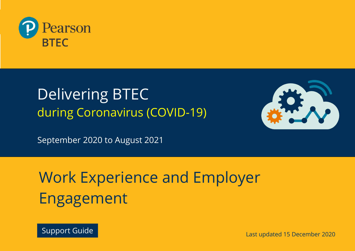

## Delivering BTEC during Coronavirus (COVID-19)



September 2020 to August 2021

# Work Experience and Employer Engagement



Last updated 15 December 2020 Support Guide Last updated 15 December 2020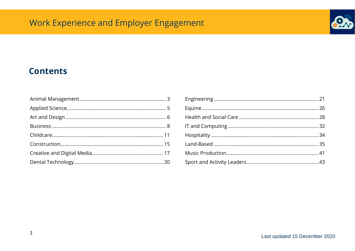

### **Contents**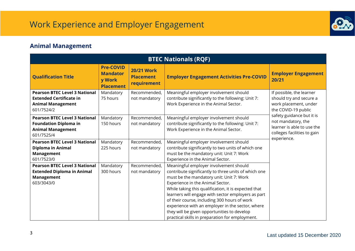

### <span id="page-2-0"></span>**Animal Management**

| <b>BTEC Nationals (RQF)</b>                                                                                      |                                                                   |                                                      |                                                                                                                                                                                                                                                                                                                                                                                                                                                                                                    |                                                                                                              |  |  |  |
|------------------------------------------------------------------------------------------------------------------|-------------------------------------------------------------------|------------------------------------------------------|----------------------------------------------------------------------------------------------------------------------------------------------------------------------------------------------------------------------------------------------------------------------------------------------------------------------------------------------------------------------------------------------------------------------------------------------------------------------------------------------------|--------------------------------------------------------------------------------------------------------------|--|--|--|
| <b>Qualification Title</b>                                                                                       | <b>Pre-COVID</b><br><b>Mandator</b><br>y Work<br><b>Placement</b> | <b>20/21 Work</b><br><b>Placement</b><br>requirement | <b>Employer Engagement Activities Pre-COVID</b>                                                                                                                                                                                                                                                                                                                                                                                                                                                    | <b>Employer Engagement</b><br>20/21                                                                          |  |  |  |
| <b>Pearson BTEC Level 3 National</b><br><b>Extended Certificate in</b><br><b>Animal Management</b><br>601/7524/2 | Mandatory<br>75 hours                                             | Recommended,<br>not mandatory                        | Meaningful employer involvement should<br>contribute significantly to the following: Unit 7:<br>Work Experience in the Animal Sector.                                                                                                                                                                                                                                                                                                                                                              | If possible, the learner<br>should try and secure a<br>work placement, under<br>the COVID-19 public          |  |  |  |
| <b>Pearson BTEC Level 3 National</b><br><b>Foundation Diploma in</b><br><b>Animal Management</b><br>601/7525/4   | Mandatory<br>150 hours                                            | Recommended,<br>not mandatory                        | Meaningful employer involvement should<br>contribute significantly to the following: Unit 7:<br>Work Experience in the Animal Sector.                                                                                                                                                                                                                                                                                                                                                              | safety guidance but it is<br>not mandatory, the<br>learner is able to use the<br>colleges facilities to gain |  |  |  |
| <b>Pearson BTEC Level 3 National</b><br>Diploma in Animal<br><b>Management</b><br>601/7523/0                     | Mandatory<br>225 hours                                            | Recommended,<br>not mandatory                        | Meaningful employer involvement should<br>contribute significantly to two units of which one<br>must be the mandatory unit: Unit 7: Work<br>Experience in the Animal Sector.                                                                                                                                                                                                                                                                                                                       | experience.                                                                                                  |  |  |  |
| <b>Pearson BTEC Level 3 National</b><br><b>Extended Diploma in Animal</b><br><b>Management</b><br>603/3043/0     | Mandatory<br>300 hours                                            | Recommended,<br>not mandatory                        | Meaningful employer involvement should<br>contribute significantly to three units of which one<br>must be the mandatory unit: Unit 7: Work<br>Experience in the Animal Sector.<br>While taking this qualification, it is expected that<br>learners will engage with sector employers as part<br>of their course, including 300 hours of work<br>experience with an employer in the sector, where<br>they will be given opportunities to develop<br>practical skills in preparation for employment. |                                                                                                              |  |  |  |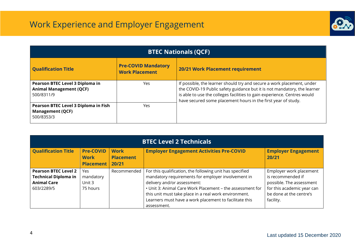

| <b>BTEC Nationals (QCF)</b>                                                     |                                                     |                                                                                                                                                                                                                                                                                                 |  |  |  |  |  |  |
|---------------------------------------------------------------------------------|-----------------------------------------------------|-------------------------------------------------------------------------------------------------------------------------------------------------------------------------------------------------------------------------------------------------------------------------------------------------|--|--|--|--|--|--|
| <b>Qualification Title</b>                                                      | <b>Pre-COVID Mandatory</b><br><b>Work Placement</b> | 20/21 Work Placement requirement                                                                                                                                                                                                                                                                |  |  |  |  |  |  |
| Pearson BTEC Level 3 Diploma in<br><b>Animal Management (QCF)</b><br>500/8311/9 | Yes                                                 | If possible, the learner should try and secure a work placement, under<br>the COVID-19 Public safety guidance but it is not mandatory, the learner<br>is able to use the colleges facilities to gain experience. Centres would<br>have secured some placement hours in the first year of study. |  |  |  |  |  |  |
| Pearson BTEC Level 3 Diploma in Fish<br><b>Management (QCF)</b><br>500/8353/3   | Yes.                                                |                                                                                                                                                                                                                                                                                                 |  |  |  |  |  |  |

| <b>BTEC Level 2 Technicals</b>                                                                 |                                                     |                                          |                                                                                                                                                                                                                                                                                                                                              |                                                                                                                                                |  |  |
|------------------------------------------------------------------------------------------------|-----------------------------------------------------|------------------------------------------|----------------------------------------------------------------------------------------------------------------------------------------------------------------------------------------------------------------------------------------------------------------------------------------------------------------------------------------------|------------------------------------------------------------------------------------------------------------------------------------------------|--|--|
| <b>Qualification Title</b>                                                                     | <b>Pre-COVID</b><br><b>Work</b><br><b>Placement</b> | <b>Work</b><br><b>Placement</b><br>20/21 | <b>Employer Engagement Activities Pre-COVID</b>                                                                                                                                                                                                                                                                                              | <b>Employer Engagement</b><br>20/21                                                                                                            |  |  |
| <b>Pearson BTEC Level 2</b><br><b>Technical Diploma in</b><br><b>Animal Care</b><br>603/2289/5 | Yes<br>mandatory<br>Unit 3<br>75 hours              | Recommended                              | For this qualification, the following unit has specified<br>mandatory requirements for employer involvement in<br>delivery and/or assessment:<br>• Unit 3: Animal Care Work Placement - the assessment for<br>this unit must take place in a real work environment.<br>Learners must have a work placement to facilitate this<br>assessment. | Employer work placement<br>is recommended if<br>possible. The assessment<br>for this academic year can<br>be done at the centre's<br>facility. |  |  |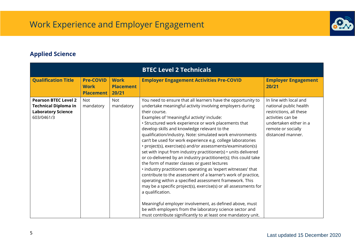

#### <span id="page-4-0"></span>**Applied Science**

|                                                                                                       |                                                     |                                          | <b>BTEC Level 2 Technicals</b>                                                                                                                                                                                                                                                                                                                                                                                                                                                                                                                                                                                                                                                                                                                                                                                                                                                                                                                                                                                                                                                                                                                               |                                                                                                                                                                       |
|-------------------------------------------------------------------------------------------------------|-----------------------------------------------------|------------------------------------------|--------------------------------------------------------------------------------------------------------------------------------------------------------------------------------------------------------------------------------------------------------------------------------------------------------------------------------------------------------------------------------------------------------------------------------------------------------------------------------------------------------------------------------------------------------------------------------------------------------------------------------------------------------------------------------------------------------------------------------------------------------------------------------------------------------------------------------------------------------------------------------------------------------------------------------------------------------------------------------------------------------------------------------------------------------------------------------------------------------------------------------------------------------------|-----------------------------------------------------------------------------------------------------------------------------------------------------------------------|
| <b>Qualification Title</b>                                                                            | <b>Pre-COVID</b><br><b>Work</b><br><b>Placement</b> | <b>Work</b><br><b>Placement</b><br>20/21 | <b>Employer Engagement Activities Pre-COVID</b>                                                                                                                                                                                                                                                                                                                                                                                                                                                                                                                                                                                                                                                                                                                                                                                                                                                                                                                                                                                                                                                                                                              | <b>Employer Engagement</b><br>20/21                                                                                                                                   |
| <b>Pearson BTEC Level 2</b><br><b>Technical Diploma in</b><br><b>Laboratory Science</b><br>603/0461/3 | <b>Not</b><br>mandatory                             | <b>Not</b><br>mandatory                  | You need to ensure that all learners have the opportunity to<br>undertake meaningful activity involving employers during<br>their course.<br>Examples of 'meaningful activity' include:<br>• Structured work experience or work placements that<br>develop skills and knowledge relevant to the<br>qualification/industry. Note: simulated work environments<br>can't be used for work experience e.g. college laboratories<br>• project(s), exercise(s) and/or assessments/examination(s)<br>set with input from industry practitioner(s) • units delivered<br>or co-delivered by an industry practitioner(s); this could take<br>the form of master classes or guest lectures<br>· industry practitioners operating as 'expert witnesses' that<br>contribute to the assessment of a learner's work of practice,<br>operating within a specified assessment framework. This<br>may be a specific project(s), exercise(s) or all assessments for<br>a qualification.<br>Meaningful employer involvement, as defined above, must<br>be with employers from the laboratory science sector and<br>must contribute significantly to at least one mandatory unit. | In line with local and<br>national public health<br>restrictions, all these<br>activities can be<br>undertaken either in a<br>remote or socially<br>distanced manner. |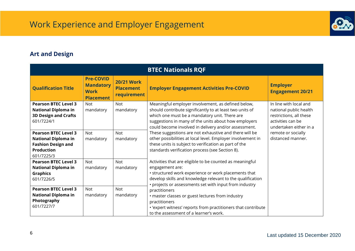

### <span id="page-5-0"></span>**Art and Design**

| <b>BTEC Nationals RQF</b>                                                                                                 |                                                                         |                                                                                                                                                                                                                                                                                        |                                                                                                                                                                                                                                                                                 |                                                                                                                            |  |  |  |
|---------------------------------------------------------------------------------------------------------------------------|-------------------------------------------------------------------------|----------------------------------------------------------------------------------------------------------------------------------------------------------------------------------------------------------------------------------------------------------------------------------------|---------------------------------------------------------------------------------------------------------------------------------------------------------------------------------------------------------------------------------------------------------------------------------|----------------------------------------------------------------------------------------------------------------------------|--|--|--|
| <b>Qualification Title</b>                                                                                                | <b>Pre-COVID</b><br><b>Mandatory</b><br><b>Work</b><br><b>Placement</b> | <b>20/21 Work</b><br><b>Placement</b><br><b>requirement</b>                                                                                                                                                                                                                            | <b>Employer Engagement Activities Pre-COVID</b>                                                                                                                                                                                                                                 | <b>Employer</b><br><b>Engagement 20/21</b>                                                                                 |  |  |  |
| <b>Pearson BTEC Level 3</b><br><b>National Diploma in</b><br><b>3D Design and Crafts</b><br>601/7224/1                    | <b>Not</b><br>mandatory                                                 | <b>Not</b><br>mandatory                                                                                                                                                                                                                                                                | Meaningful employer involvement, as defined below,<br>should contribute significantly to at least two units of<br>which one must be a mandatory unit. There are<br>suggestions in many of the units about how employers<br>could become involved in delivery and/or assessment. | In line with local and<br>national public health<br>restrictions, all these<br>activities can be<br>undertaken either in a |  |  |  |
| <b>Pearson BTEC Level 3</b><br><b>National Diploma in</b><br><b>Fashion Design and</b><br><b>Production</b><br>601/7225/3 | <b>Not</b><br>mandatory                                                 | <b>Not</b><br>mandatory                                                                                                                                                                                                                                                                | These suggestions are not exhaustive and there will be<br>other possibilities at local level. Employer involvement in<br>these units is subject to verification as part of the<br>standards verification process (see Section 8).                                               | remote or socially<br>distanced manner.                                                                                    |  |  |  |
| <b>Pearson BTEC Level 3</b><br><b>National Diploma in</b><br><b>Graphics</b><br>601/7226/5                                | <b>Not</b><br>mandatory                                                 | Activities that are eligible to be counted as meaningful<br><b>Not</b><br>engagement are:<br>mandatory<br>• structured work experience or work placements that<br>develop skills and knowledge relevant to the qualification<br>• projects or assessments set with input from industry |                                                                                                                                                                                                                                                                                 |                                                                                                                            |  |  |  |
| <b>Pearson BTEC Level 3</b><br><b>National Diploma in</b><br>Photography<br>601/7227/7                                    | <b>Not</b><br>mandatory                                                 | <b>Not</b><br>mandatory                                                                                                                                                                                                                                                                | practitioners<br>· master classes or guest lectures from industry<br>practitioners<br>. 'expert witness' reports from practitioners that contribute<br>to the assessment of a learner's work.                                                                                   |                                                                                                                            |  |  |  |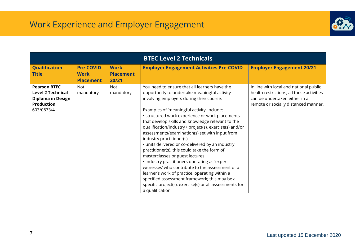

|                                                                                                                |                                                     |                                          | <b>BTEC Level 2 Technicals</b>                                                                                                                                                                                                                                                                                                                                                                                                                                                                                                                                                                                                                                                                                                                                                                                                                                         |                                                                                                                                                              |
|----------------------------------------------------------------------------------------------------------------|-----------------------------------------------------|------------------------------------------|------------------------------------------------------------------------------------------------------------------------------------------------------------------------------------------------------------------------------------------------------------------------------------------------------------------------------------------------------------------------------------------------------------------------------------------------------------------------------------------------------------------------------------------------------------------------------------------------------------------------------------------------------------------------------------------------------------------------------------------------------------------------------------------------------------------------------------------------------------------------|--------------------------------------------------------------------------------------------------------------------------------------------------------------|
| <b>Qualification</b><br><b>Title</b>                                                                           | <b>Pre-COVID</b><br><b>Work</b><br><b>Placement</b> | <b>Work</b><br><b>Placement</b><br>20/21 | <b>Employer Engagement Activities Pre-COVID</b>                                                                                                                                                                                                                                                                                                                                                                                                                                                                                                                                                                                                                                                                                                                                                                                                                        | <b>Employer Engagement 20/21</b>                                                                                                                             |
| <b>Pearson BTEC</b><br><b>Level 2 Technical</b><br><b>Diploma in Design</b><br><b>Production</b><br>603/0873/4 | <b>Not</b><br>mandatory                             | <b>Not</b><br>mandatory                  | You need to ensure that all learners have the<br>opportunity to undertake meaningful activity<br>involving employers during their course.<br>Examples of 'meaningful activity' include:<br>• structured work experience or work placements<br>that develop skills and knowledge relevant to the<br>qualification/industry · project(s), exercise(s) and/or<br>assessments/examination(s) set with input from<br>industry practitioner(s)<br>· units delivered or co-delivered by an industry<br>practitioner(s); this could take the form of<br>masterclasses or guest lectures<br>· industry practitioners operating as 'expert<br>witnesses' who contribute to the assessment of a<br>learner's work of practice, operating within a<br>specified assessment framework; this may be a<br>specific project(s), exercise(s) or all assessments for<br>a qualification. | In line with local and national public<br>health restrictions, all these activities<br>can be undertaken either in a<br>remote or socially distanced manner. |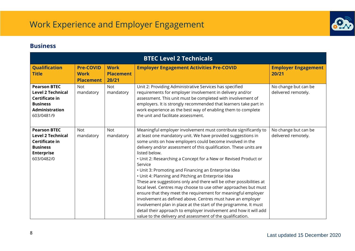

#### <span id="page-7-0"></span>**Business**

| <b>BTEC Level 2 Technicals</b>                                                                                              |                                 |                                 |                                                                                                                                                                                                                                                                                                                                                                                                                                                                                                                                                                                                                                                                                                                                                                                                                                                                                                                                                                  |                                             |  |  |
|-----------------------------------------------------------------------------------------------------------------------------|---------------------------------|---------------------------------|------------------------------------------------------------------------------------------------------------------------------------------------------------------------------------------------------------------------------------------------------------------------------------------------------------------------------------------------------------------------------------------------------------------------------------------------------------------------------------------------------------------------------------------------------------------------------------------------------------------------------------------------------------------------------------------------------------------------------------------------------------------------------------------------------------------------------------------------------------------------------------------------------------------------------------------------------------------|---------------------------------------------|--|--|
| <b>Qualification</b><br><b>Title</b>                                                                                        | <b>Pre-COVID</b><br><b>Work</b> | <b>Work</b><br><b>Placement</b> | <b>Employer Engagement Activities Pre-COVID</b>                                                                                                                                                                                                                                                                                                                                                                                                                                                                                                                                                                                                                                                                                                                                                                                                                                                                                                                  | <b>Employer Engagement</b><br>20/21         |  |  |
|                                                                                                                             | <b>Placement</b>                | 20/21                           |                                                                                                                                                                                                                                                                                                                                                                                                                                                                                                                                                                                                                                                                                                                                                                                                                                                                                                                                                                  |                                             |  |  |
| <b>Pearson BTEC</b><br><b>Level 2 Technical</b><br>Certificate in<br><b>Business</b><br><b>Administration</b><br>603/0481/9 | <b>Not</b><br>mandatory         | <b>Not</b><br>mandatory         | Unit 2: Providing Administrative Services has specified<br>requirements for employer involvement in delivery and/or<br>assessment. This unit must be completed with involvement of<br>employers. It is strongly recommended that learners take part in<br>work experience as the best way of enabling them to complete<br>the unit and facilitate assessment.                                                                                                                                                                                                                                                                                                                                                                                                                                                                                                                                                                                                    | No change but can be<br>delivered remotely. |  |  |
| <b>Pearson BTEC</b><br><b>Level 2 Technical</b><br>Certificate in<br><b>Business</b><br><b>Enterprise</b><br>603/0482/0     | <b>Not</b><br>mandatory         | <b>Not</b><br>mandatory         | Meaningful employer involvement must contribute significantly to<br>at least one mandatory unit. We have provided suggestions in<br>some units on how employers could become involved in the<br>delivery and/or assessment of this qualification. These units are<br>listed below.<br>• Unit 2: Researching a Concept for a New or Revised Product or<br>Service<br>• Unit 3: Promoting and Financing an Enterprise Idea<br>• Unit 4: Planning and Pitching an Enterprise Idea<br>These are suggestions only and there will be other possibilities at<br>local level. Centres may choose to use other approaches but must<br>ensure that they meet the requirement for meaningful employer<br>involvement as defined above. Centres must have an employer<br>involvement plan in place at the start of the programme. It must<br>detail their approach to employer involvement and how it will add<br>value to the delivery and assessment of the qualification. | No change but can be<br>delivered remotely. |  |  |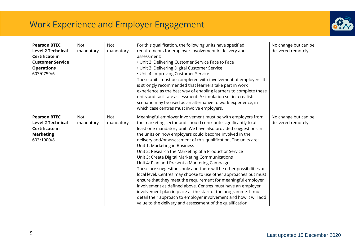

| <b>Pearson BTEC</b><br><b>Level 2 Technical</b><br>Certificate in<br><b>Customer Service</b><br><b>Operations</b><br>603/0759/6 | <b>Not</b><br>mandatory | <b>Not</b><br>mandatory | For this qualification, the following units have specified<br>requirements for employer involvement in delivery and<br>assessment:<br>• Unit 2: Delivering Customer Service Face to Face<br>• Unit 3: Delivering Digital Customer Service<br>• Unit 4: Improving Customer Service.<br>These units must be completed with involvement of employers. It<br>is strongly recommended that learners take part in work<br>experience as the best way of enabling learners to complete these<br>units and facilitate assessment. A simulation set in a realistic<br>scenario may be used as an alternative to work experience, in<br>which case centres must involve employers.                                                                                                                                                                                                                                                                                                                                         | No change but can be<br>delivered remotely. |
|---------------------------------------------------------------------------------------------------------------------------------|-------------------------|-------------------------|------------------------------------------------------------------------------------------------------------------------------------------------------------------------------------------------------------------------------------------------------------------------------------------------------------------------------------------------------------------------------------------------------------------------------------------------------------------------------------------------------------------------------------------------------------------------------------------------------------------------------------------------------------------------------------------------------------------------------------------------------------------------------------------------------------------------------------------------------------------------------------------------------------------------------------------------------------------------------------------------------------------|---------------------------------------------|
| <b>Pearson BTEC</b><br><b>Level 2 Technical</b><br>Certificate in<br><b>Marketing</b><br>603/1900/8                             | <b>Not</b><br>mandatory | <b>Not</b><br>mandatory | Meaningful employer involvement must be with employers from<br>the marketing sector and should contribute significantly to at<br>least one mandatory unit. We have also provided suggestions in<br>the units on how employers could become involved in the<br>delivery and/or assessment of this qualification. The units are:<br>Unit 1: Marketing in Business<br>Unit 2: Research the Marketing of a Product or Service<br>Unit 3: Create Digital Marketing Communications<br>Unit 4: Plan and Present a Marketing Campaign.<br>These are suggestions only and there will be other possibilities at<br>local level. Centres may choose to use other approaches but must<br>ensure that they meet the requirement for meaningful employer<br>involvement as defined above. Centres must have an employer<br>involvement plan in place at the start of the programme. It must<br>detail their approach to employer involvement and how it will add<br>value to the delivery and assessment of the qualification. | No change but can be<br>delivered remotely. |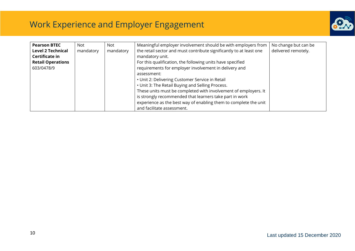

| <b>Pearson BTEC</b>      | <b>Not</b> | Not       | Meaningful employer involvement should be with employers from       | No change but can be |
|--------------------------|------------|-----------|---------------------------------------------------------------------|----------------------|
| <b>Level 2 Technical</b> | mandatory  | mandatory | the retail sector and must contribute significantly to at least one | delivered remotely.  |
| Certificate in           |            |           | mandatory unit.                                                     |                      |
| <b>Retail Operations</b> |            |           | For this qualification, the following units have specified          |                      |
| 603/0478/9               |            |           | requirements for employer involvement in delivery and               |                      |
|                          |            |           | assessment:                                                         |                      |
|                          |            |           | • Unit 2: Delivering Customer Service in Retail                     |                      |
|                          |            |           | • Unit 3: The Retail Buying and Selling Process.                    |                      |
|                          |            |           | These units must be completed with involvement of employers. It     |                      |
|                          |            |           | is strongly recommended that learners take part in work             |                      |
|                          |            |           | experience as the best way of enabling them to complete the unit    |                      |
|                          |            |           | and facilitate assessment.                                          |                      |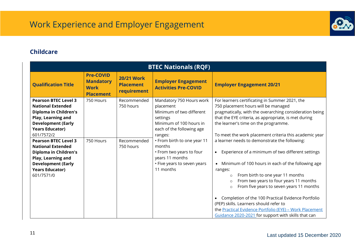

#### <span id="page-10-0"></span>**Childcare**

| <b>BTEC Nationals (RQF)</b>                                                                                                                                                                                                                                                                                |                                                                         |                                                      |                                                                                                                                                                                                                                                                         |                                                                                                                                                                                                                                                                                                                                                                                                                                                                                                 |  |  |  |
|------------------------------------------------------------------------------------------------------------------------------------------------------------------------------------------------------------------------------------------------------------------------------------------------------------|-------------------------------------------------------------------------|------------------------------------------------------|-------------------------------------------------------------------------------------------------------------------------------------------------------------------------------------------------------------------------------------------------------------------------|-------------------------------------------------------------------------------------------------------------------------------------------------------------------------------------------------------------------------------------------------------------------------------------------------------------------------------------------------------------------------------------------------------------------------------------------------------------------------------------------------|--|--|--|
| <b>Qualification Title</b>                                                                                                                                                                                                                                                                                 | <b>Pre-COVID</b><br><b>Mandatory</b><br><b>Work</b><br><b>Placement</b> | <b>20/21 Work</b><br><b>Placement</b><br>requirement | <b>Employer Engagement</b><br><b>Activities Pre-COVID</b>                                                                                                                                                                                                               | <b>Employer Engagement 20/21</b>                                                                                                                                                                                                                                                                                                                                                                                                                                                                |  |  |  |
| <b>Pearson BTEC Level 3</b><br><b>National Extended</b><br><b>Diploma in Children's</b><br><b>Play, Learning and</b><br><b>Development (Early</b><br><b>Years Educator)</b><br>601/7572/2<br><b>Pearson BTEC Level 3</b><br><b>National Extended</b><br><b>Diploma in Children's</b><br>Play, Learning and | 750 Hours<br>750 Hours                                                  | Recommended<br>750 hours<br>Recommended<br>750 hours | Mandatory 750 Hours work<br>placement<br>Minimum of two different<br>settings<br>Minimum of 100 hours in<br>each of the following age<br>ranges:<br>• From birth to one year 11<br>months<br>• From two years to four<br>years 11 months<br>• Five years to seven years | For learners certificating in Summer 2021, the<br>750 placement hours will be managed<br>pragmatically, with the overarching consideration being<br>that the EYE criteria, as appropriate, is met during<br>the learner's time on the programme.<br>To meet the work placement criteria this academic year<br>a learner needs to demonstrate the following:<br>Experience of a minimum of two different settings<br>$\bullet$<br>Minimum of 100 hours in each of the following age<br>$\bullet$ |  |  |  |
| <b>Development (Early</b><br><b>Years Educator)</b><br>601/7571/0                                                                                                                                                                                                                                          |                                                                         |                                                      | 11 months                                                                                                                                                                                                                                                               | ranges:<br>From birth to one year 11 months<br>$\circ$<br>From two years to four years 11 months<br>$\Omega$<br>From five years to seven years 11 months<br>$\circ$<br>Completion of the 100 Practical Evidence Portfolio<br>(PEP) skills. Learners should refer to<br>the Practical Evidence Portfolio (EYE) - Work Placement<br>Guidance 2020-2021 for support with skills that can                                                                                                           |  |  |  |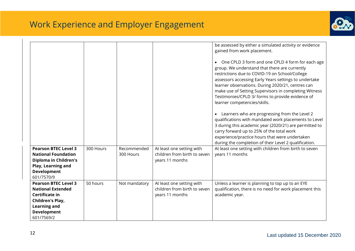

| <b>Pearson BTEC Level 3</b><br><b>National Foundation</b>                                                                                                | 300 Hours | Recommended<br>300 Hours | At least one setting with<br>children from birth to seven                    | be assessed by either a simulated activity or evidence<br>gained from work placement.<br>• One CPLD 3 form and one CPLD 4 form for each age<br>group. We understand that there are currently<br>restrictions due to COVID-19 on School/College<br>assessors accessing Early Years settings to undertake<br>learner observations. During 2020/21, centres can<br>make use of Setting Supervisors in completing Witness<br>Testimonies/CPLD 3/ forms to provide evidence of<br>learner competencies/skills.<br>• Learners who are progressing from the Level 2<br>qualifications with mandated work placements to Level<br>3 during this academic year (2020/21) are permitted to<br>carry forward up to 25% of the total work<br>experience/practice hours that were undertaken<br>during the completion of their Level 2 qualification.<br>At least one setting with children from birth to seven<br>years 11 months |
|----------------------------------------------------------------------------------------------------------------------------------------------------------|-----------|--------------------------|------------------------------------------------------------------------------|----------------------------------------------------------------------------------------------------------------------------------------------------------------------------------------------------------------------------------------------------------------------------------------------------------------------------------------------------------------------------------------------------------------------------------------------------------------------------------------------------------------------------------------------------------------------------------------------------------------------------------------------------------------------------------------------------------------------------------------------------------------------------------------------------------------------------------------------------------------------------------------------------------------------|
| <b>Diploma in Children's</b><br>Play, Learning and<br><b>Development</b><br>601/7570/9                                                                   |           |                          | years 11 months                                                              |                                                                                                                                                                                                                                                                                                                                                                                                                                                                                                                                                                                                                                                                                                                                                                                                                                                                                                                      |
| <b>Pearson BTEC Level 3</b><br><b>National Extended</b><br>Certificate in<br>Children's Play,<br><b>Learning and</b><br><b>Development</b><br>601/7569/2 | 50 hours  | Not mandatory            | At least one setting with<br>children from birth to seven<br>years 11 months | Unless a learner is planning to top up to an EYE<br>qualification, there is no need for work placement this<br>academic year.                                                                                                                                                                                                                                                                                                                                                                                                                                                                                                                                                                                                                                                                                                                                                                                        |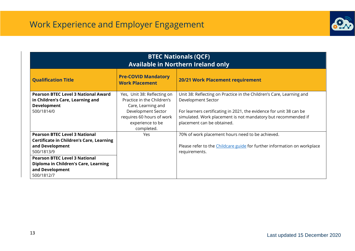

| <b>BTEC Nationals (QCF)</b><br>Available in Northern Ireland only                                                                                                                                                                         |                                                                                                                                                                      |                                                                                                                                                                                                                                                                  |  |  |  |  |
|-------------------------------------------------------------------------------------------------------------------------------------------------------------------------------------------------------------------------------------------|----------------------------------------------------------------------------------------------------------------------------------------------------------------------|------------------------------------------------------------------------------------------------------------------------------------------------------------------------------------------------------------------------------------------------------------------|--|--|--|--|
| <b>Qualification Title</b>                                                                                                                                                                                                                | <b>Pre-COVID Mandatory</b><br><b>Work Placement</b>                                                                                                                  | 20/21 Work Placement requirement                                                                                                                                                                                                                                 |  |  |  |  |
| <b>Pearson BTEC Level 3 National Award</b><br>in Children's Care, Learning and<br><b>Development</b><br>500/1814/0                                                                                                                        | Yes, Unit 38: Reflecting on<br>Practice in the Children's<br>Care, Learning and<br>Development Sector<br>requires 60 hours of work<br>experience to be<br>completed. | Unit 38: Reflecting on Practice in the Children's Care, Learning and<br>Development Sector<br>For learners certificating in 2021, the evidence for unit 38 can be<br>simulated. Work placement is not mandatory but recommended if<br>placement can be obtained. |  |  |  |  |
| <b>Pearson BTEC Level 3 National</b><br><b>Certificate in Children's Care, Learning</b><br>and Development<br>500/1813/9<br><b>Pearson BTEC Level 3 National</b><br>Diploma in Children's Care, Learning<br>and Development<br>500/1812/7 | Yes                                                                                                                                                                  | 70% of work placement hours need to be achieved.<br>Please refer to the Childcare guide for further information on workplace<br>requirements.                                                                                                                    |  |  |  |  |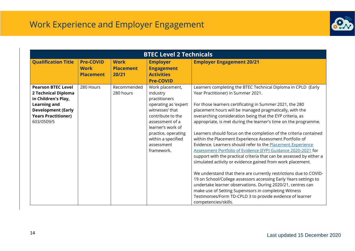

|                                                                                                                                                                         | <b>BTEC Level 2 Technicals</b>                      |                                          |                                                                                                                                                                                                                               |                                                                                                                                                                                                                                                                                                                                                                                                                                                                                                                                                                                                                                                                                                                                                                                                                                                                                                                                                                                                                                                                                                                        |  |  |  |  |
|-------------------------------------------------------------------------------------------------------------------------------------------------------------------------|-----------------------------------------------------|------------------------------------------|-------------------------------------------------------------------------------------------------------------------------------------------------------------------------------------------------------------------------------|------------------------------------------------------------------------------------------------------------------------------------------------------------------------------------------------------------------------------------------------------------------------------------------------------------------------------------------------------------------------------------------------------------------------------------------------------------------------------------------------------------------------------------------------------------------------------------------------------------------------------------------------------------------------------------------------------------------------------------------------------------------------------------------------------------------------------------------------------------------------------------------------------------------------------------------------------------------------------------------------------------------------------------------------------------------------------------------------------------------------|--|--|--|--|
| <b>Qualification Title</b>                                                                                                                                              | <b>Pre-COVID</b><br><b>Work</b><br><b>Placement</b> | <b>Work</b><br><b>Placement</b><br>20/21 | <b>Employer</b><br><b>Engagement</b><br><b>Activities</b><br><b>Pre-COVID</b>                                                                                                                                                 | <b>Employer Engagement 20/21</b>                                                                                                                                                                                                                                                                                                                                                                                                                                                                                                                                                                                                                                                                                                                                                                                                                                                                                                                                                                                                                                                                                       |  |  |  |  |
| <b>Pearson BTEC Level</b><br>2 Technical Diploma<br>in Children's Play,<br><b>Learning and</b><br><b>Development (Early</b><br><b>Years Practitioner)</b><br>603/0509/5 | 280 Hours                                           | Recommended<br>280 hours                 | Work placement,<br>industry<br>practitioners<br>operating as 'expert<br>witnesses' that<br>contribute to the<br>assessment of a<br>learner's work of<br>practice, operating<br>within a specified<br>assessment<br>framework. | Learners completing the BTEC Technical Diploma in CPLD (Early<br>Year Practitioner) in Summer 2021.<br>For those learners certificating in Summer 2021, the 280<br>placement hours will be managed pragmatically, with the<br>overarching consideration being that the EYP criteria, as<br>appropriate, is met during the learner's time on the programme.<br>Learners should focus on the completion of the criteria contained<br>within the Placement Experience Assessment Portfolio of<br>Evidence. Learners should refer to the Placement Experience<br>Assessment Portfolio of Evidence (EYP) Guidance 2020-2021 for<br>support with the practical criteria that can be assessed by either a<br>simulated activity or evidence gained from work placement.<br>We understand that there are currently restrictions due to COVID-<br>19 on School/College assessors accessing Early Years settings to<br>undertake learner observations. During 2020/21, centres can<br>make use of Setting Supervisors in completing Witness<br>Testimonies/Form TD-CPLD 3 to provide evidence of learner<br>competencies/skills. |  |  |  |  |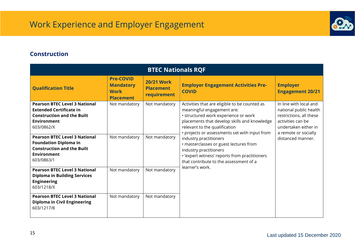

#### <span id="page-14-0"></span>**Construction**

| <b>BTEC Nationals RQF</b>                                                                                                                       |                                                                         |                                                      |                                                                                                                                                                                                                                                       |                                                                                                                                                  |  |  |  |  |
|-------------------------------------------------------------------------------------------------------------------------------------------------|-------------------------------------------------------------------------|------------------------------------------------------|-------------------------------------------------------------------------------------------------------------------------------------------------------------------------------------------------------------------------------------------------------|--------------------------------------------------------------------------------------------------------------------------------------------------|--|--|--|--|
| <b>Qualification Title</b>                                                                                                                      | <b>Pre-COVID</b><br><b>Mandatory</b><br><b>Work</b><br><b>Placement</b> | <b>20/21 Work</b><br><b>Placement</b><br>requirement | <b>Employer Engagement Activities Pre-</b><br><b>COVID</b>                                                                                                                                                                                            | <b>Employer</b><br><b>Engagement 20/21</b>                                                                                                       |  |  |  |  |
| <b>Pearson BTEC Level 3 National</b><br><b>Extended Certificate in</b><br><b>Construction and the Built</b><br><b>Environment</b><br>603/0862/X | Not mandatory                                                           | Not mandatory                                        | Activities that are eligible to be counted as<br>meaningful engagement are:<br>· structured work experience or work<br>placements that develop skills and knowledge<br>relevant to the qualification<br>• projects or assessments set with input from | In line with local and<br>national public health<br>restrictions, all these<br>activities can be<br>undertaken either in<br>a remote or socially |  |  |  |  |
| <b>Pearson BTEC Level 3 National</b><br><b>Foundation Diploma in</b><br><b>Construction and the Built</b><br><b>Environment</b><br>603/0863/1   | Not mandatory                                                           | Not mandatory                                        | industry practitioners<br>· masterclasses or guest lectures from<br>industry practitioners<br>· 'expert witness' reports from practitioners<br>that contribute to the assessment of a                                                                 | distanced manner.                                                                                                                                |  |  |  |  |
| <b>Pearson BTEC Level 3 National</b><br><b>Diploma in Building Services</b><br><b>Engineering</b><br>603/1218/X                                 | Not mandatory                                                           | Not mandatory                                        | learner's work.                                                                                                                                                                                                                                       |                                                                                                                                                  |  |  |  |  |
| <b>Pearson BTEC Level 3 National</b><br><b>Diploma in Civil Engineering</b><br>603/1217/8                                                       | Not mandatory                                                           | Not mandatory                                        |                                                                                                                                                                                                                                                       |                                                                                                                                                  |  |  |  |  |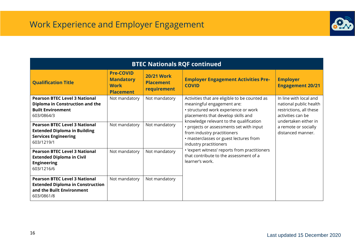

| <b>BTEC Nationals RQF continued</b>                                                                                        |                                                                         |                                                      |                                                                                                                                                                                                      |                                                                                                                          |  |  |  |
|----------------------------------------------------------------------------------------------------------------------------|-------------------------------------------------------------------------|------------------------------------------------------|------------------------------------------------------------------------------------------------------------------------------------------------------------------------------------------------------|--------------------------------------------------------------------------------------------------------------------------|--|--|--|
| <b>Qualification Title</b>                                                                                                 | <b>Pre-COVID</b><br><b>Mandatory</b><br><b>Work</b><br><b>Placement</b> | <b>20/21 Work</b><br><b>Placement</b><br>requirement | <b>Employer Engagement Activities Pre-</b><br><b>COVID</b>                                                                                                                                           | <b>Employer</b><br><b>Engagement 20/21</b>                                                                               |  |  |  |
| <b>Pearson BTEC Level 3 National</b><br>Diploma in Construction and the<br><b>Built Environment</b><br>603/0864/3          | Not mandatory                                                           | Not mandatory                                        | Activities that are eligible to be counted as<br>meaningful engagement are:<br>• structured work experience or work<br>placements that develop skills and<br>knowledge relevant to the qualification | In line with local and<br>national public health<br>restrictions, all these<br>activities can be<br>undertaken either in |  |  |  |
| <b>Pearson BTEC Level 3 National</b><br><b>Extended Diploma in Building</b><br><b>Services Engineering</b><br>603/1219/1   | Not mandatory                                                           | Not mandatory                                        | • projects or assessments set with input<br>from industry practitioners<br>· masterclasses or guest lectures from<br>industry practitioners                                                          | a remote or socially<br>distanced manner.                                                                                |  |  |  |
| <b>Pearson BTEC Level 3 National</b><br><b>Extended Diploma in Civil</b><br><b>Engineering</b><br>603/1216/6               | Not mandatory                                                           | Not mandatory                                        | • 'expert witness' reports from practitioners<br>that contribute to the assessment of a<br>learner's work.                                                                                           |                                                                                                                          |  |  |  |
| <b>Pearson BTEC Level 3 National</b><br><b>Extended Diploma in Construction</b><br>and the Built Environment<br>603/0861/8 | Not mandatory                                                           | Not mandatory                                        |                                                                                                                                                                                                      |                                                                                                                          |  |  |  |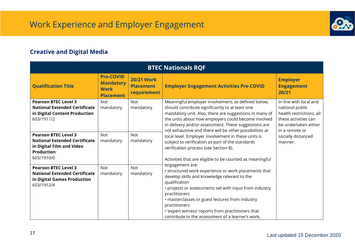

### <span id="page-16-0"></span>**Creative and Digital Media**

| <b>BTEC Nationals RQF</b>                                                                                                           |                                                                         |                                                      |                                                                                                                                                                                                                                                                                                                                                                                                                                                                                                                                                                                                                                                                                                                                                                                                                                                                                                                                                                 |                                                                                                                       |  |  |  |
|-------------------------------------------------------------------------------------------------------------------------------------|-------------------------------------------------------------------------|------------------------------------------------------|-----------------------------------------------------------------------------------------------------------------------------------------------------------------------------------------------------------------------------------------------------------------------------------------------------------------------------------------------------------------------------------------------------------------------------------------------------------------------------------------------------------------------------------------------------------------------------------------------------------------------------------------------------------------------------------------------------------------------------------------------------------------------------------------------------------------------------------------------------------------------------------------------------------------------------------------------------------------|-----------------------------------------------------------------------------------------------------------------------|--|--|--|
| <b>Qualification Title</b>                                                                                                          | <b>Pre-COVID</b><br><b>Mandatory</b><br><b>Work</b><br><b>Placement</b> | <b>20/21 Work</b><br><b>Placement</b><br>requirement | <b>Employer Engagement Activities Pre-COVID</b>                                                                                                                                                                                                                                                                                                                                                                                                                                                                                                                                                                                                                                                                                                                                                                                                                                                                                                                 | <b>Employer</b><br><b>Engagement</b><br>20/21                                                                         |  |  |  |
| <b>Pearson BTEC Level 3</b><br><b>National Extended Certificate</b><br>in Digital Content Production<br>603/1911/2                  | <b>Not</b><br>mandatory                                                 | <b>Not</b><br>mandatory                              | Meaningful employer involvement, as defined below,<br>should contribute significantly to at least one<br>mandatory unit. Also, there are suggestions in many of<br>the units about how employers could become involved<br>in delivery and/or assessment. These suggestions are<br>not exhaustive and there will be other possibilities at<br>local level. Employer involvement in these units is<br>subject to verification as part of the standards<br>verification process (see Section 8).<br>Activities that are eligible to be counted as meaningful<br>engagement are:<br>• structured work experience or work placements that<br>develop skills and knowledge relevant to the<br>qualification<br>• projects or assessments set with input from industry<br>practitioners<br>· masterclasses or guest lectures from industry<br>practitioners<br>. 'expert witness' reports from practitioners that<br>contribute to the assessment of a learner's work. | In line with local and<br>national public<br>health restrictions, all<br>these activities can<br>be undertaken either |  |  |  |
| <b>Pearson BTEC Level 3</b><br><b>National Extended Certificate</b><br>in Digital Film and Video<br><b>Production</b><br>603/1910/0 | <b>Not</b><br>mandatory                                                 | <b>Not</b><br>mandatory                              |                                                                                                                                                                                                                                                                                                                                                                                                                                                                                                                                                                                                                                                                                                                                                                                                                                                                                                                                                                 | in a remote or<br>socially distanced<br>manner.                                                                       |  |  |  |
| <b>Pearson BTEC Level 3</b><br><b>National Extended Certificate</b><br>in Digital Games Production<br>603/1912/4                    | <b>Not</b><br>mandatory                                                 | <b>Not</b><br>mandatory                              |                                                                                                                                                                                                                                                                                                                                                                                                                                                                                                                                                                                                                                                                                                                                                                                                                                                                                                                                                                 |                                                                                                                       |  |  |  |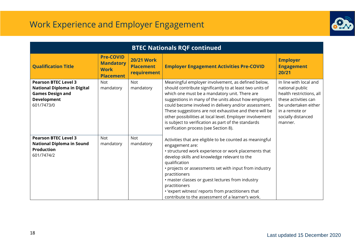

| <b>BTEC Nationals RQF continued</b>                                                                                              |                                                                         |                                                      |                                                                                                                                                                                                                                                                                                                                                                                                                                                                                                       |                                                                                                                                                                          |  |
|----------------------------------------------------------------------------------------------------------------------------------|-------------------------------------------------------------------------|------------------------------------------------------|-------------------------------------------------------------------------------------------------------------------------------------------------------------------------------------------------------------------------------------------------------------------------------------------------------------------------------------------------------------------------------------------------------------------------------------------------------------------------------------------------------|--------------------------------------------------------------------------------------------------------------------------------------------------------------------------|--|
| <b>Qualification Title</b>                                                                                                       | <b>Pre-COVID</b><br><b>Mandatory</b><br><b>Work</b><br><b>Placement</b> | <b>20/21 Work</b><br><b>Placement</b><br>requirement | <b>Employer Engagement Activities Pre-COVID</b>                                                                                                                                                                                                                                                                                                                                                                                                                                                       | <b>Employer</b><br><b>Engagement</b><br>20/21                                                                                                                            |  |
| <b>Pearson BTEC Level 3</b><br><b>National Diploma in Digital</b><br><b>Games Design and</b><br><b>Development</b><br>601/7473/0 | <b>Not</b><br>mandatory                                                 | Not<br>mandatory                                     | Meaningful employer involvement, as defined below,<br>should contribute significantly to at least two units of<br>which one must be a mandatory unit. There are<br>suggestions in many of the units about how employers<br>could become involved in delivery and/or assessment.<br>These suggestions are not exhaustive and there will be<br>other possibilities at local level. Employer involvement<br>is subject to verification as part of the standards<br>verification process (see Section 8). | In line with local and<br>national public<br>health restrictions, all<br>these activities can<br>be undertaken either<br>in a remote or<br>socially distanced<br>manner. |  |
| <b>Pearson BTEC Level 3</b><br><b>National Diploma in Sound</b><br><b>Production</b><br>601/7474/2                               | Not<br>mandatory                                                        | Not<br>mandatory                                     | Activities that are eligible to be counted as meaningful<br>engagement are:<br>• structured work experience or work placements that<br>develop skills and knowledge relevant to the<br>qualification<br>• projects or assessments set with input from industry<br>practitioners<br>· master classes or guest lectures from industry<br>practitioners<br>• 'expert witness' reports from practitioners that<br>contribute to the assessment of a learner's work.                                       |                                                                                                                                                                          |  |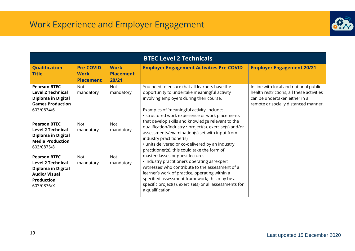

|                                                                                                                                         |                                                     |                                          | <b>BTEC Level 2 Technicals</b>                                                                                                                                                                                                                                                                                         |                                                                                                                                                              |
|-----------------------------------------------------------------------------------------------------------------------------------------|-----------------------------------------------------|------------------------------------------|------------------------------------------------------------------------------------------------------------------------------------------------------------------------------------------------------------------------------------------------------------------------------------------------------------------------|--------------------------------------------------------------------------------------------------------------------------------------------------------------|
| <b>Qualification</b><br><b>Title</b>                                                                                                    | <b>Pre-COVID</b><br><b>Work</b><br><b>Placement</b> | <b>Work</b><br><b>Placement</b><br>20/21 | <b>Employer Engagement Activities Pre-COVID</b>                                                                                                                                                                                                                                                                        | <b>Employer Engagement 20/21</b>                                                                                                                             |
| <b>Pearson BTEC</b><br><b>Level 2 Technical</b><br><b>Diploma in Digital</b><br><b>Games Production</b><br>603/0874/6                   | <b>Not</b><br>mandatory                             | <b>Not</b><br>mandatory                  | You need to ensure that all learners have the<br>opportunity to undertake meaningful activity<br>involving employers during their course.<br>Examples of 'meaningful activity' include:<br>• structured work experience or work placements                                                                             | In line with local and national public<br>health restrictions, all these activities<br>can be undertaken either in a<br>remote or socially distanced manner. |
| <b>Pearson BTEC</b><br><b>Level 2 Technical</b><br><b>Diploma in Digital</b><br><b>Media Production</b><br>603/0875/8                   | <b>Not</b><br>mandatory                             | <b>Not</b><br>mandatory                  | that develop skills and knowledge relevant to the<br>qualification/industry · project(s), exercise(s) and/or<br>assessments/examination(s) set with input from<br>industry practitioner(s)<br>• units delivered or co-delivered by an industry<br>practitioner(s); this could take the form of                         |                                                                                                                                                              |
| <b>Pearson BTEC</b><br><b>Level 2 Technical</b><br><b>Diploma in Digital</b><br><b>Audio/ Visual</b><br><b>Production</b><br>603/0876/X | <b>Not</b><br>mandatory                             | <b>Not</b><br>mandatory                  | masterclasses or guest lectures<br>· industry practitioners operating as 'expert<br>witnesses' who contribute to the assessment of a<br>learner's work of practice, operating within a<br>specified assessment framework; this may be a<br>specific project(s), exercise(s) or all assessments for<br>a qualification. |                                                                                                                                                              |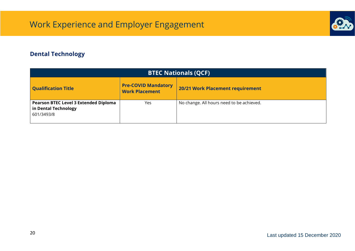

### <span id="page-19-0"></span>**Dental Technology**

| <b>BTEC Nationals (QCF)</b>                                                 |                                                     |                                           |  |  |  |  |
|-----------------------------------------------------------------------------|-----------------------------------------------------|-------------------------------------------|--|--|--|--|
| <b>Qualification Title</b>                                                  | <b>Pre-COVID Mandatory</b><br><b>Work Placement</b> | 20/21 Work Placement requirement          |  |  |  |  |
| Pearson BTEC Level 3 Extended Diploma<br>in Dental Technology<br>601/3493/8 | Yes                                                 | No change. All hours need to be achieved. |  |  |  |  |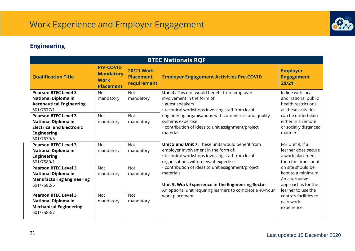

### <span id="page-20-0"></span>**Engineering**

| <b>BTEC Nationals RQF</b>                                                                                                                                                                                                                       |                                                                         |                                                      |                                                                                                                                                                                                                                                                                                        |                                                                                                                                                                          |  |  |
|-------------------------------------------------------------------------------------------------------------------------------------------------------------------------------------------------------------------------------------------------|-------------------------------------------------------------------------|------------------------------------------------------|--------------------------------------------------------------------------------------------------------------------------------------------------------------------------------------------------------------------------------------------------------------------------------------------------------|--------------------------------------------------------------------------------------------------------------------------------------------------------------------------|--|--|
| <b>Qualification Title</b>                                                                                                                                                                                                                      | <b>Pre-COVID</b><br><b>Mandatory</b><br><b>Work</b><br><b>Placement</b> | <b>20/21 Work</b><br><b>Placement</b><br>requirement | <b>Employer Engagement Activities Pre-COVID</b>                                                                                                                                                                                                                                                        | <b>Employer</b><br><b>Engagement</b><br>20/21                                                                                                                            |  |  |
| <b>Pearson BTEC Level 3</b><br><b>National Diploma in</b><br><b>Aeronautical Engineering</b><br>601/7577/1<br><b>Pearson BTEC Level 3</b><br><b>National Diploma in</b><br><b>Electrical and Electronic</b><br><b>Engineering</b><br>601/7579/5 | <b>Not</b><br>mandatory<br><b>Not</b><br>mandatory                      | <b>Not</b><br>mandatory<br><b>Not</b><br>mandatory   | Unit 4: This unit would benefit from employer<br>involvement in the form of:<br>• guest speakers<br>• technical workshops involving staff from local<br>engineering organisations with commercial and quality<br>systems expertise<br>• contribution of ideas to unit assignment/project<br>materials. | In line with local<br>and national public<br>health restrictions,<br>all these activities<br>can be undertaken<br>either in a remote<br>or socially distanced<br>manner. |  |  |
| <b>Pearson BTEC Level 3</b><br><b>National Diploma in</b><br><b>Engineering</b><br>601/7580/1                                                                                                                                                   | <b>Not</b><br>mandatory                                                 | <b>Not</b><br>mandatory                              | <b>Unit 5 and Unit 7:</b> These units would benefit from<br>employer involvement in the form of:<br>• technical workshops involving staff from local<br>organisations with relevant expertise                                                                                                          | For Unit 9, if a<br>learner does secure<br>a work placement<br>then the time spent                                                                                       |  |  |
| <b>Pearson BTEC Level 3</b><br><b>National Diploma in</b><br><b>Manufacturing Engineering</b><br>601/7582/5<br><b>Pearson BTEC Level 3</b><br><b>National Diploma in</b><br><b>Mechanical Engineering</b><br>601/7583/7                         | <b>Not</b><br>mandatory<br><b>Not</b><br>mandatory                      | <b>Not</b><br>mandatory<br><b>Not</b><br>mandatory   | • contribution of ideas to unit assignment/project<br>materials.<br>Unit 9: Work Experience in the Engineering Sector:<br>An optional unit requiring learners to complete a 40-hour<br>work placement.                                                                                                 | on site should be<br>kept to a minimum.<br>An alternative<br>approach is for the<br>learner to use the<br>centre's facilities to<br>gain work<br>experience.             |  |  |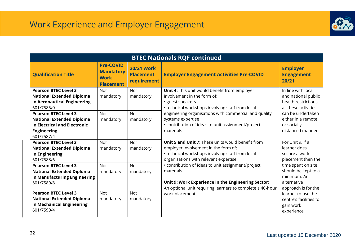

| <b>BTEC Nationals RQF continued</b>                                                                                                 |                                                                         |                                                      |                                                                                                                                                                                               |                                                                                                |  |
|-------------------------------------------------------------------------------------------------------------------------------------|-------------------------------------------------------------------------|------------------------------------------------------|-----------------------------------------------------------------------------------------------------------------------------------------------------------------------------------------------|------------------------------------------------------------------------------------------------|--|
| <b>Qualification Title</b>                                                                                                          | <b>Pre-COVID</b><br><b>Mandatory</b><br><b>Work</b><br><b>Placement</b> | <b>20/21 Work</b><br><b>Placement</b><br>requirement | <b>Employer Engagement Activities Pre-COVID</b>                                                                                                                                               | <b>Employer</b><br><b>Engagement</b><br>20/21                                                  |  |
| <b>Pearson BTEC Level 3</b><br><b>National Extended Diploma</b><br>in Aeronautical Engineering<br>601/7585/0                        | <b>Not</b><br>mandatory                                                 | <b>Not</b><br>mandatory                              | Unit 4: This unit would benefit from employer<br>involvement in the form of:<br>• guest speakers<br>• technical workshops involving staff from local                                          | In line with local<br>and national public<br>health restrictions,<br>all these activities      |  |
| <b>Pearson BTEC Level 3</b><br><b>National Extended Diploma</b><br>in Electrical and Electronic<br><b>Engineering</b><br>601/7587/4 | <b>Not</b><br>mandatory                                                 | <b>Not</b><br>mandatory                              | engineering organisations with commercial and quality<br>systems expertise<br>• contribution of ideas to unit assignment/project<br>materials.                                                | can be undertaken<br>either in a remote<br>or socially<br>distanced manner.                    |  |
| <b>Pearson BTEC Level 3</b><br><b>National Extended Diploma</b><br>in Engineering<br>601/7588/6                                     | <b>Not</b><br>mandatory                                                 | <b>Not</b><br>mandatory                              | <b>Unit 5 and Unit 7:</b> These units would benefit from<br>employer involvement in the form of:<br>• technical workshops involving staff from local<br>organisations with relevant expertise | For Unit 9, if a<br>learner does<br>secure a work<br>placement then the                        |  |
| <b>Pearson BTEC Level 3</b><br><b>National Extended Diploma</b><br>in Manufacturing Engineering<br>601/7589/8                       | <b>Not</b><br>mandatory                                                 | <b>Not</b><br>mandatory                              | • contribution of ideas to unit assignment/project<br>materials.<br>Unit 9: Work Experience in the Engineering Sector:<br>An optional unit requiring learners to complete a 40-hour           | time spent on site<br>should be kept to a<br>minimum. An<br>alternative<br>approach is for the |  |
| <b>Pearson BTEC Level 3</b><br><b>National Extended Diploma</b><br>in Mechanical Engineering<br>601/7590/4                          | <b>Not</b><br>mandatory                                                 | <b>Not</b><br>mandatory                              | work placement.                                                                                                                                                                               | learner to use the<br>centre's facilities to<br>gain work<br>experience.                       |  |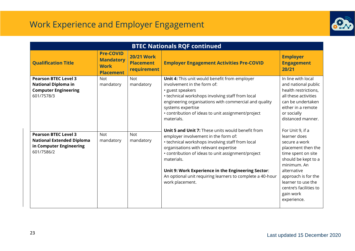

| <b>BTEC Nationals RQF continued</b>                                                                      |                                                                         |                                                      |                                                                                                                                                                                                                                                                                                                                                                                                         |                                                                                                                                                                                                                                                       |  |  |
|----------------------------------------------------------------------------------------------------------|-------------------------------------------------------------------------|------------------------------------------------------|---------------------------------------------------------------------------------------------------------------------------------------------------------------------------------------------------------------------------------------------------------------------------------------------------------------------------------------------------------------------------------------------------------|-------------------------------------------------------------------------------------------------------------------------------------------------------------------------------------------------------------------------------------------------------|--|--|
| <b>Qualification Title</b>                                                                               | <b>Pre-COVID</b><br><b>Mandatory</b><br><b>Work</b><br><b>Placement</b> | <b>20/21 Work</b><br><b>Placement</b><br>requirement | <b>Employer Engagement Activities Pre-COVID</b>                                                                                                                                                                                                                                                                                                                                                         | <b>Employer</b><br><b>Engagement</b><br>20/21                                                                                                                                                                                                         |  |  |
| <b>Pearson BTEC Level 3</b><br><b>National Diploma in</b><br><b>Computer Engineering</b><br>601/7578/3   | <b>Not</b><br>mandatory                                                 | <b>Not</b><br>mandatory                              | Unit 4: This unit would benefit from employer<br>involvement in the form of:<br>· guest speakers<br>• technical workshops involving staff from local<br>engineering organisations with commercial and quality<br>systems expertise<br>• contribution of ideas to unit assignment/project<br>materials.                                                                                                  | In line with local<br>and national public<br>health restrictions,<br>all these activities<br>can be undertaken<br>either in a remote<br>or socially<br>distanced manner.                                                                              |  |  |
| <b>Pearson BTEC Level 3</b><br><b>National Extended Diploma</b><br>in Computer Engineering<br>601/7586/2 | <b>Not</b><br>mandatory                                                 | <b>Not</b><br>mandatory                              | <b>Unit 5 and Unit 7:</b> These units would benefit from<br>employer involvement in the form of:<br>• technical workshops involving staff from local<br>organisations with relevant expertise<br>• contribution of ideas to unit assignment/project<br>materials.<br>Unit 9: Work Experience in the Engineering Sector:<br>An optional unit requiring learners to complete a 40-hour<br>work placement. | For Unit 9, if a<br>learner does<br>secure a work<br>placement then the<br>time spent on site<br>should be kept to a<br>minimum. An<br>alternative<br>approach is for the<br>learner to use the<br>centre's facilities to<br>gain work<br>experience. |  |  |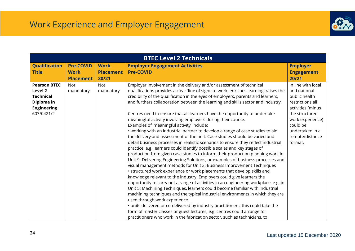

| <b>BTEC Level 2 Technicals</b>                                                                                                  |                         |                                                                                                                                                                                                                                                                                                                                                                                                                                                                                                                                                                                                                                                                                                                                                                                                                                                                                                                                                                                                                                                                                                                                                                                                                                                                                                                                                                                                                                                                                                                                                                                                                                                                                                                                                                                                            |                                                                                                                                                                                                 |  |  |  |
|---------------------------------------------------------------------------------------------------------------------------------|-------------------------|------------------------------------------------------------------------------------------------------------------------------------------------------------------------------------------------------------------------------------------------------------------------------------------------------------------------------------------------------------------------------------------------------------------------------------------------------------------------------------------------------------------------------------------------------------------------------------------------------------------------------------------------------------------------------------------------------------------------------------------------------------------------------------------------------------------------------------------------------------------------------------------------------------------------------------------------------------------------------------------------------------------------------------------------------------------------------------------------------------------------------------------------------------------------------------------------------------------------------------------------------------------------------------------------------------------------------------------------------------------------------------------------------------------------------------------------------------------------------------------------------------------------------------------------------------------------------------------------------------------------------------------------------------------------------------------------------------------------------------------------------------------------------------------------------------|-------------------------------------------------------------------------------------------------------------------------------------------------------------------------------------------------|--|--|--|
| <b>Qualification</b><br><b>Pre-COVID</b>                                                                                        | <b>Work</b>             | <b>Employer Engagement Activities</b>                                                                                                                                                                                                                                                                                                                                                                                                                                                                                                                                                                                                                                                                                                                                                                                                                                                                                                                                                                                                                                                                                                                                                                                                                                                                                                                                                                                                                                                                                                                                                                                                                                                                                                                                                                      | <b>Employer</b>                                                                                                                                                                                 |  |  |  |
| <b>Work</b><br><b>Title</b>                                                                                                     | <b>Placement</b>        | <b>Pre-COVID</b>                                                                                                                                                                                                                                                                                                                                                                                                                                                                                                                                                                                                                                                                                                                                                                                                                                                                                                                                                                                                                                                                                                                                                                                                                                                                                                                                                                                                                                                                                                                                                                                                                                                                                                                                                                                           | <b>Engagement</b>                                                                                                                                                                               |  |  |  |
| <b>Placement</b>                                                                                                                | 20/21                   |                                                                                                                                                                                                                                                                                                                                                                                                                                                                                                                                                                                                                                                                                                                                                                                                                                                                                                                                                                                                                                                                                                                                                                                                                                                                                                                                                                                                                                                                                                                                                                                                                                                                                                                                                                                                            | 20/21                                                                                                                                                                                           |  |  |  |
| <b>Pearson BTEC</b><br><b>Not</b><br>Level 2<br>mandatory<br><b>Technical</b><br>Diploma in<br><b>Engineering</b><br>603/0421/2 | <b>Not</b><br>mandatory | Employer involvement in the delivery and/or assessment of technical<br>qualifications provides a clear 'line of sight' to work, enriches learning, raises the<br>credibility of the qualification in the eyes of employers, parents and learners,<br>and furthers collaboration between the learning and skills sector and industry.<br>Centres need to ensure that all learners have the opportunity to undertake<br>meaningful activity involving employers during their course.<br>Examples of 'meaningful activity' include:<br>• working with an industrial partner to develop a range of case studies to aid<br>the delivery and assessment of the unit. Case studies should be varied and<br>detail business processes in realistic scenarios to ensure they reflect industrial<br>practice, e.g. learners could identify possible scales and key stages of<br>production from given case studies to inform their production planning work in<br>Unit 9: Delivering Engineering Solutions, or examples of business processes and<br>visual management methods for Unit 3: Business Improvement Techniques<br>• structured work experience or work placements that develop skills and<br>knowledge relevant to the industry. Employers could give learners the<br>opportunity to carry out a range of activities in an engineering workplace, e.g. in<br>Unit 5: Machining Techniques, learners could become familiar with industrial<br>machining techniques and the typical industrial environments in which they are<br>used through work experience<br>. units delivered or co-delivered by industry practitioners; this could take the<br>form of master classes or guest lectures, e.g. centres could arrange for<br>practitioners who work in the fabrication sector, such as technicians, to | In line with local<br>and national<br>public health<br>restrictions all<br>activities (minus<br>the structured<br>work experience)<br>could be<br>undertaken in a<br>remote/distance<br>format. |  |  |  |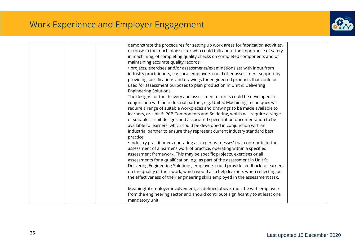

|  | demonstrate the procedures for setting up work areas for fabrication activities, |  |
|--|----------------------------------------------------------------------------------|--|
|  | or those in the machining sector who could talk about the importance of safety   |  |
|  |                                                                                  |  |
|  | in machining, of completing quality checks on completed components and of        |  |
|  | maintaining accurate quality records                                             |  |
|  | · projects, exercises and/or assessments/examinations set with input from        |  |
|  | industry practitioners, e.g. local employers could offer assessment support by   |  |
|  | providing specifications and drawings for engineered products that could be      |  |
|  | used for assessment purposes to plan production in Unit 9: Delivering            |  |
|  | <b>Engineering Solutions.</b>                                                    |  |
|  | The designs for the delivery and assessment of units could be developed in       |  |
|  | conjunction with an industrial partner, e.g. Unit 5: Machining Techniques will   |  |
|  | require a range of suitable workpieces and drawings to be made available to      |  |
|  | learners, or Unit 6: PCB Components and Soldering, which will require a range    |  |
|  | of suitable circuit designs and associated specification documentation to be     |  |
|  |                                                                                  |  |
|  | available to learners, which could be developed in conjunction with an           |  |
|  | industrial partner to ensure they represent current industry standard best       |  |
|  | practice                                                                         |  |
|  | . industry practitioners operating as 'expert witnesses' that contribute to the  |  |
|  | assessment of a learner's work of practice, operating within a specified         |  |
|  | assessment framework. This may be specific projects, exercises or all            |  |
|  | assessments for a qualification, e.g. as part of the assessment in Unit 9:       |  |
|  | Delivering Engineering Solutions, employers could provide feedback to learners   |  |
|  | on the quality of their work, which would also help learners when reflecting on  |  |
|  | the effectiveness of their engineering skills employed in the assessment task.   |  |
|  |                                                                                  |  |
|  | Meaningful employer involvement, as defined above, must be with employers        |  |
|  | from the engineering sector and should contribute significantly to at least one  |  |
|  |                                                                                  |  |
|  | mandatory unit.                                                                  |  |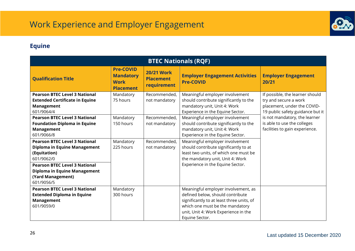

### <span id="page-25-0"></span>**Equine**

| <b>BTEC Nationals (RQF)</b>                                                                                                                                                |                                                                         |                                                      |                                                                                                                                                                                                                   |                                                                                                                             |  |  |
|----------------------------------------------------------------------------------------------------------------------------------------------------------------------------|-------------------------------------------------------------------------|------------------------------------------------------|-------------------------------------------------------------------------------------------------------------------------------------------------------------------------------------------------------------------|-----------------------------------------------------------------------------------------------------------------------------|--|--|
| <b>Qualification Title</b>                                                                                                                                                 | <b>Pre-COVID</b><br><b>Mandatory</b><br><b>Work</b><br><b>Placement</b> | <b>20/21 Work</b><br><b>Placement</b><br>requirement | <b>Employer Engagement Activities</b><br><b>Pre-COVID</b>                                                                                                                                                         | <b>Employer Engagement</b><br>20/21                                                                                         |  |  |
| <b>Pearson BTEC Level 3 National</b><br><b>Extended Certificate in Equine</b><br><b>Management</b><br>601/9064/4                                                           | Mandatory<br>75 hours                                                   | Recommended,<br>not mandatory                        | Meaningful employer involvement<br>should contribute significantly to the<br>mandatory unit, Unit 4: Work<br>Experience in the Equine Sector.                                                                     | If possible, the learner should<br>try and secure a work<br>placement, under the COVID-<br>19 public safety guidance but it |  |  |
| <b>Pearson BTEC Level 3 National</b><br><b>Foundation Diploma in Equine</b><br>Management<br>601/9066/8                                                                    | Mandatory<br>150 hours                                                  | Recommended,<br>not mandatory                        | Meaningful employer involvement<br>should contribute significantly to the<br>mandatory unit, Unit 4: Work<br>Experience in the Equine Sector.                                                                     | is not mandatory, the learner<br>is able to use the colleges<br>facilities to gain experience.                              |  |  |
| <b>Pearson BTEC Level 3 National</b><br>Diploma in Equine Management<br>(Equitation)<br>601/9062/0<br><b>Pearson BTEC Level 3 National</b><br>Diploma in Equine Management | Mandatory<br>225 hours                                                  | Recommended,<br>not mandatory                        | Meaningful employer involvement<br>should contribute significantly to at<br>least two units, of which one must be<br>the mandatory unit, Unit 4: Work<br>Experience in the Equine Sector.                         |                                                                                                                             |  |  |
| (Yard Management)<br>601/9056/5                                                                                                                                            |                                                                         |                                                      |                                                                                                                                                                                                                   |                                                                                                                             |  |  |
| <b>Pearson BTEC Level 3 National</b><br><b>Extended Diploma in Equine</b><br><b>Management</b><br>601/9059/0                                                               | Mandatory<br>300 hours                                                  |                                                      | Meaningful employer involvement, as<br>defined below, should contribute<br>significantly to at least three units, of<br>which one must be the mandatory<br>unit, Unit 4: Work Experience in the<br>Equine Sector. |                                                                                                                             |  |  |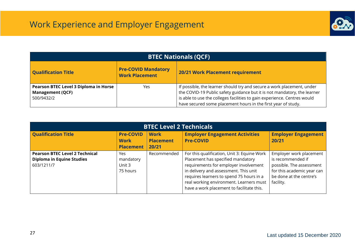

| <b>BTEC Nationals (QCF)</b>                                                    |                                                     |                                                                                                                                                                                                                                                                                                 |  |  |  |  |  |
|--------------------------------------------------------------------------------|-----------------------------------------------------|-------------------------------------------------------------------------------------------------------------------------------------------------------------------------------------------------------------------------------------------------------------------------------------------------|--|--|--|--|--|
| <b>Qualification Title</b>                                                     | <b>Pre-COVID Mandatory</b><br><b>Work Placement</b> | 20/21 Work Placement requirement                                                                                                                                                                                                                                                                |  |  |  |  |  |
| Pearson BTEC Level 3 Diploma in Horse<br><b>Management (QCF)</b><br>500/9432/2 | Yes                                                 | If possible, the learner should try and secure a work placement, under<br>the COVID-19 Public safety guidance but it is not mandatory, the learner<br>is able to use the colleges facilities to gain experience. Centres would<br>have secured some placement hours in the first year of study. |  |  |  |  |  |

| <b>BTEC Level 2 Technicals</b>                                                          |                                                     |                                          |                                                                                                                                                                                                                                                                                                        |                                                                                                                                                |  |  |
|-----------------------------------------------------------------------------------------|-----------------------------------------------------|------------------------------------------|--------------------------------------------------------------------------------------------------------------------------------------------------------------------------------------------------------------------------------------------------------------------------------------------------------|------------------------------------------------------------------------------------------------------------------------------------------------|--|--|
| <b>Qualification Title</b>                                                              | <b>Pre-COVID</b><br><b>Work</b><br><b>Placement</b> | <b>Work</b><br><b>Placement</b><br>20/21 | <b>Employer Engagement Activities</b><br><b>Pre-COVID</b>                                                                                                                                                                                                                                              | <b>Employer Engagement</b><br>20/21                                                                                                            |  |  |
| <b>Pearson BTEC Level 2 Technical</b><br><b>Diploma in Equine Studies</b><br>603/1211/7 | Yes.<br>mandatory<br>Unit 3<br>75 hours             | Recommended                              | For this qualification, Unit 3: Equine Work<br>Placement has specified mandatory<br>requirements for employer involvement<br>in delivery and assessment. This unit<br>requires learners to spend 75 hours in a<br>real working environment. Learners must<br>have a work placement to facilitate this. | Employer work placement<br>is recommended if<br>possible. The assessment<br>for this academic year can<br>be done at the centre's<br>facility. |  |  |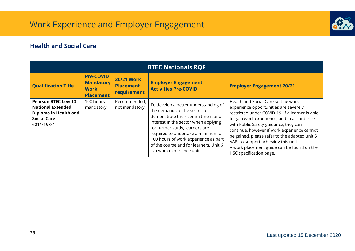

#### <span id="page-27-0"></span>**Health and Social Care**

| <b>BTEC Nationals RQF</b>                                                                                            |                                                                         |                                                             |                                                                                                                                                                                                                                                                                                                                           |                                                                                                                                                                                                                                                                                                                                                                                                                                         |  |  |  |  |
|----------------------------------------------------------------------------------------------------------------------|-------------------------------------------------------------------------|-------------------------------------------------------------|-------------------------------------------------------------------------------------------------------------------------------------------------------------------------------------------------------------------------------------------------------------------------------------------------------------------------------------------|-----------------------------------------------------------------------------------------------------------------------------------------------------------------------------------------------------------------------------------------------------------------------------------------------------------------------------------------------------------------------------------------------------------------------------------------|--|--|--|--|
| <b>Qualification Title</b>                                                                                           | <b>Pre-COVID</b><br><b>Mandatory</b><br><b>Work</b><br><b>Placement</b> | <b>20/21 Work</b><br><b>Placement</b><br><b>requirement</b> | <b>Employer Engagement</b><br><b>Activities Pre-COVID</b>                                                                                                                                                                                                                                                                                 | <b>Employer Engagement 20/21</b>                                                                                                                                                                                                                                                                                                                                                                                                        |  |  |  |  |
| <b>Pearson BTEC Level 3</b><br><b>National Extended</b><br>Diploma in Health and<br><b>Social Care</b><br>601/7198/4 | 100 hours<br>mandatory                                                  | Recommended,<br>not mandatory                               | To develop a better understanding of<br>the demands of the sector to<br>demonstrate their commitment and<br>interest in the sector when applying<br>for further study, learners are<br>required to undertake a minimum of<br>100 hours of work experience as part<br>of the course and for learners. Unit 6<br>is a work experience unit. | Health and Social Care setting work<br>experience opportunities are severely<br>restricted under COVID-19. If a learner is able<br>to gain work experience, and in accordance<br>with Public Safety guidance, they can<br>continue, however if work experience cannot<br>be gained, please refer to the adapted unit 6<br>AAB, to support achieving this unit.<br>A work placement guide can be found on the<br>HSC specification page. |  |  |  |  |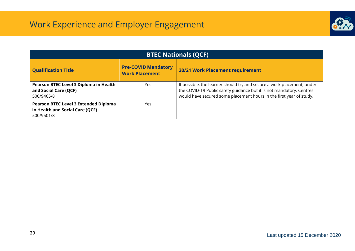

| <b>BTEC Nationals (QCF)</b>                                                                   |                                                     |                                                                                                                                                                                                                       |  |  |  |  |  |  |
|-----------------------------------------------------------------------------------------------|-----------------------------------------------------|-----------------------------------------------------------------------------------------------------------------------------------------------------------------------------------------------------------------------|--|--|--|--|--|--|
| <b>Qualification Title</b>                                                                    | <b>Pre-COVID Mandatory</b><br><b>Work Placement</b> | 20/21 Work Placement requirement                                                                                                                                                                                      |  |  |  |  |  |  |
| Pearson BTEC Level 3 Diploma in Health<br>and Social Care (QCF)<br>500/9465/8                 | Yes                                                 | If possible, the learner should try and secure a work placement, under<br>the COVID-19 Public safety guidance but it is not mandatory. Centres<br>would have secured some placement hours in the first year of study. |  |  |  |  |  |  |
| <b>Pearson BTEC Level 3 Extended Diploma</b><br>in Health and Social Care (QCF)<br>500/9501/8 | Yes                                                 |                                                                                                                                                                                                                       |  |  |  |  |  |  |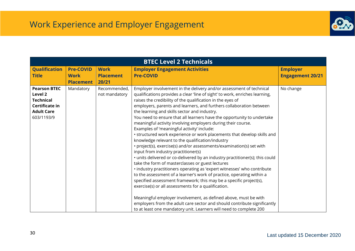

| <b>BTEC Level 2 Technicals</b>                                                                          |                  |                               |                                                                                                                                                                                                                                                                                                                                                                                                                                                                                                                                                                                                                                                                                                                                                                                                                                                                                                                                                                                                                                                                                                                                                                                                                                                                                                                                                   |                         |  |  |
|---------------------------------------------------------------------------------------------------------|------------------|-------------------------------|---------------------------------------------------------------------------------------------------------------------------------------------------------------------------------------------------------------------------------------------------------------------------------------------------------------------------------------------------------------------------------------------------------------------------------------------------------------------------------------------------------------------------------------------------------------------------------------------------------------------------------------------------------------------------------------------------------------------------------------------------------------------------------------------------------------------------------------------------------------------------------------------------------------------------------------------------------------------------------------------------------------------------------------------------------------------------------------------------------------------------------------------------------------------------------------------------------------------------------------------------------------------------------------------------------------------------------------------------|-------------------------|--|--|
| <b>Qualification</b>                                                                                    | <b>Pre-COVID</b> | <b>Work</b>                   | <b>Employer Engagement Activities</b>                                                                                                                                                                                                                                                                                                                                                                                                                                                                                                                                                                                                                                                                                                                                                                                                                                                                                                                                                                                                                                                                                                                                                                                                                                                                                                             | <b>Employer</b>         |  |  |
| <b>Title</b>                                                                                            | <b>Work</b>      | <b>Placement</b>              | <b>Pre-COVID</b>                                                                                                                                                                                                                                                                                                                                                                                                                                                                                                                                                                                                                                                                                                                                                                                                                                                                                                                                                                                                                                                                                                                                                                                                                                                                                                                                  | <b>Engagement 20/21</b> |  |  |
|                                                                                                         | <b>Placement</b> | 20/21                         |                                                                                                                                                                                                                                                                                                                                                                                                                                                                                                                                                                                                                                                                                                                                                                                                                                                                                                                                                                                                                                                                                                                                                                                                                                                                                                                                                   |                         |  |  |
| <b>Pearson BTEC</b><br>Level 2<br><b>Technical</b><br>Certificate in<br><b>Adult Care</b><br>603/1193/9 | Mandatory        | Recommended,<br>not mandatory | Employer involvement in the delivery and/or assessment of technical<br>qualifications provides a clear 'line of sight' to work, enriches learning,<br>raises the credibility of the qualification in the eyes of<br>employers, parents and learners, and furthers collaboration between<br>the learning and skills sector and industry.<br>You need to ensure that all learners have the opportunity to undertake<br>meaningful activity involving employers during their course.<br>Examples of 'meaningful activity' include:<br>• structured work experience or work placements that develop skills and<br>knowledge relevant to the qualification/industry<br>• project(s), exercise(s) and/or assessments/examination(s) set with<br>input from industry practitioner(s)<br>• units delivered or co-delivered by an industry practitioner(s); this could<br>take the form of masterclasses or guest lectures<br>· industry practitioners operating as 'expert witnesses' who contribute<br>to the assessment of a learner's work of practice, operating within a<br>specified assessment framework; this may be a specific project(s),<br>exercise(s) or all assessments for a qualification.<br>Meaningful employer involvement, as defined above, must be with<br>employers from the adult care sector and should contribute significantly | No change               |  |  |
|                                                                                                         |                  |                               | to at least one mandatory unit. Learners will need to complete 200                                                                                                                                                                                                                                                                                                                                                                                                                                                                                                                                                                                                                                                                                                                                                                                                                                                                                                                                                                                                                                                                                                                                                                                                                                                                                |                         |  |  |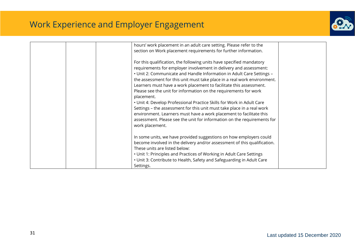

| hours' work placement in an adult care setting. Please refer to the<br>section on Work placement requirements for further information.<br>For this qualification, the following units have specified mandatory<br>requirements for employer involvement in delivery and assessment:<br>. Unit 2: Communicate and Handle Information in Adult Care Settings -                                                                                                                                                                                             |  |
|----------------------------------------------------------------------------------------------------------------------------------------------------------------------------------------------------------------------------------------------------------------------------------------------------------------------------------------------------------------------------------------------------------------------------------------------------------------------------------------------------------------------------------------------------------|--|
| the assessment for this unit must take place in a real work environment.<br>Learners must have a work placement to facilitate this assessment.<br>Please see the unit for information on the requirements for work<br>placement.<br>• Unit 4: Develop Professional Practice Skills for Work in Adult Care<br>Settings - the assessment for this unit must take place in a real work<br>environment. Learners must have a work placement to facilitate this<br>assessment. Please see the unit for information on the requirements for<br>work placement. |  |
| In some units, we have provided suggestions on how employers could<br>become involved in the delivery and/or assessment of this qualification.<br>These units are listed below:<br>• Unit 1: Principles and Practices of Working in Adult Care Settings<br>• Unit 3: Contribute to Health, Safety and Safeguarding in Adult Care<br>Settings.                                                                                                                                                                                                            |  |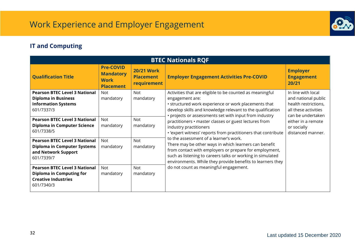

### <span id="page-31-0"></span>**IT and Computing**

| <b>BTEC Nationals RQF</b>                                                                                           |                                                                         |                                                                                                                                                                                                                              |                                                                                                                                                                                                                                                                                       |                                               |                                                        |                                                                                                                |  |
|---------------------------------------------------------------------------------------------------------------------|-------------------------------------------------------------------------|------------------------------------------------------------------------------------------------------------------------------------------------------------------------------------------------------------------------------|---------------------------------------------------------------------------------------------------------------------------------------------------------------------------------------------------------------------------------------------------------------------------------------|-----------------------------------------------|--------------------------------------------------------|----------------------------------------------------------------------------------------------------------------|--|
| <b>Qualification Title</b>                                                                                          | <b>Pre-COVID</b><br><b>Mandatory</b><br><b>Work</b><br><b>Placement</b> | <b>20/21 Work</b><br><b>Placement</b><br>requirement                                                                                                                                                                         | <b>Employer Engagement Activities Pre-COVID</b>                                                                                                                                                                                                                                       | <b>Employer</b><br><b>Engagement</b><br>20/21 |                                                        |                                                                                                                |  |
| <b>Pearson BTEC Level 3 National</b><br><b>Diploma in Business</b><br><b>Information Systems</b><br>601/7337/3      | Not<br>mandatory                                                        | Activities that are eligible to be counted as meaningful<br><b>Not</b><br>mandatory<br>engagement are:<br>• structured work experience or work placements that<br>develop skills and knowledge relevant to the qualification |                                                                                                                                                                                                                                                                                       |                                               | • projects or assessments set with input from industry | In line with local<br>and national public<br>health restrictions,<br>all these activities<br>can be undertaken |  |
| <b>Pearson BTEC Level 3 National</b><br><b>Diploma in Computer Science</b><br>601/7338/5                            | <b>Not</b><br>mandatory                                                 | <b>Not</b><br>mandatory                                                                                                                                                                                                      | either in a remote<br>or socially<br>distanced manner.                                                                                                                                                                                                                                |                                               |                                                        |                                                                                                                |  |
| <b>Pearson BTEC Level 3 National</b><br><b>Diploma in Computer Systems</b><br>and Network Support<br>601/7339/7     | Not<br>mandatory                                                        | <b>Not</b><br>mandatory                                                                                                                                                                                                      | to the assessment of a learner's work.<br>There may be other ways in which learners can benefit<br>from contact with employers or prepare for employment,<br>such as listening to careers talks or working in simulated<br>environments. While they provide benefits to learners they |                                               |                                                        |                                                                                                                |  |
| <b>Pearson BTEC Level 3 National</b><br><b>Diploma in Computing for</b><br><b>Creative Industries</b><br>601/7340/3 | <b>Not</b><br>mandatory                                                 | <b>Not</b><br>mandatory                                                                                                                                                                                                      | do not count as meaningful engagement.                                                                                                                                                                                                                                                |                                               |                                                        |                                                                                                                |  |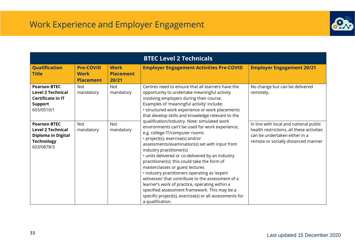

|                                                                                                                 |                                                     |                                          | <b>BTEC Level 2 Technicals</b>                                                                                                                                                                                                                                                                                                                                                                                                                                                                                                                                                                                                     |                                                                                                                                                             |
|-----------------------------------------------------------------------------------------------------------------|-----------------------------------------------------|------------------------------------------|------------------------------------------------------------------------------------------------------------------------------------------------------------------------------------------------------------------------------------------------------------------------------------------------------------------------------------------------------------------------------------------------------------------------------------------------------------------------------------------------------------------------------------------------------------------------------------------------------------------------------------|-------------------------------------------------------------------------------------------------------------------------------------------------------------|
| <b>Qualification</b><br><b>Title</b>                                                                            | <b>Pre-COVID</b><br><b>Work</b><br><b>Placement</b> | <b>Work</b><br><b>Placement</b><br>20/21 | <b>Employer Engagement Activities Pre-COVID</b>                                                                                                                                                                                                                                                                                                                                                                                                                                                                                                                                                                                    | <b>Employer Engagement 20/21</b>                                                                                                                            |
| <b>Pearson BTEC</b><br><b>Level 2 Technical</b><br><b>Certificate in IT</b><br><b>Support</b><br>603/0510/1     | <b>Not</b><br>mandatory                             | <b>Not</b><br>mandatory                  | Centres need to ensure that all learners have the<br>opportunity to undertake meaningful activity<br>involving employers during their course.<br>Examples of 'meaningful activity' include:<br>• structured work experience or work placements<br>that develop skills and knowledge relevant to the<br>qualification/industry. Note: simulated work                                                                                                                                                                                                                                                                                | No change but can be delivered<br>remotely.                                                                                                                 |
| <b>Pearson BTEC</b><br><b>Level 2 Technical</b><br><b>Diploma in Digital</b><br><b>Technology</b><br>603/0878/3 | <b>Not</b><br>mandatory                             | <b>Not</b><br>mandatory                  | environments can't be used for work experience,<br>e.g. college IT/computer rooms<br>• project(s), exercise(s) and/or<br>assessments/examination(s) set with input from<br>industry practitioner(s)<br>• units delivered or co-delivered by an industry<br>practitioner(s); this could take the form of<br>masterclasses or guest lectures<br>· industry practitioners operating as 'expert<br>witnesses' that contribute to the assessment of a<br>learner's work of practice, operating within a<br>specified assessment framework. This may be a<br>specific project(s), exercise(s) or all assessments for<br>a qualification. | In line with local and national public<br>health restrictions, all these activities<br>can be undertaken either in a<br>remote or socially distanced manner |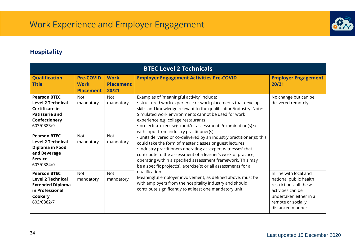

### <span id="page-33-0"></span>**Hospitality**

| <b>BTEC Level 2 Technicals</b>                                                                                                                   |                                                     |                                          |                                                                                                                                                                                                                                                                                                                                                                                                                                                                                                                                                                                                                                                                                                                                                                                                       |                                                                                                                                                                       |  |  |
|--------------------------------------------------------------------------------------------------------------------------------------------------|-----------------------------------------------------|------------------------------------------|-------------------------------------------------------------------------------------------------------------------------------------------------------------------------------------------------------------------------------------------------------------------------------------------------------------------------------------------------------------------------------------------------------------------------------------------------------------------------------------------------------------------------------------------------------------------------------------------------------------------------------------------------------------------------------------------------------------------------------------------------------------------------------------------------------|-----------------------------------------------------------------------------------------------------------------------------------------------------------------------|--|--|
| <b>Qualification</b><br><b>Title</b>                                                                                                             | <b>Pre-COVID</b><br><b>Work</b><br><b>Placement</b> | <b>Work</b><br><b>Placement</b><br>20/21 | <b>Employer Engagement Activities Pre-COVID</b>                                                                                                                                                                                                                                                                                                                                                                                                                                                                                                                                                                                                                                                                                                                                                       | <b>Employer Engagement</b><br>20/21                                                                                                                                   |  |  |
| <b>Pearson BTEC</b><br><b>Level 2 Technical</b><br>Certificate in<br><b>Patisserie and</b><br>Confectionery<br>603/0383/9<br><b>Pearson BTEC</b> | <b>Not</b><br>mandatory<br><b>Not</b>               | <b>Not</b><br>mandatory<br><b>Not</b>    | Examples of 'meaningful activity' include:<br>• structured work experience or work placements that develop<br>skills and knowledge relevant to the qualification/industry. Note:<br>Simulated work environments cannot be used for work<br>experience e.g. college restaurants<br>• project(s), exercise(s) and/or assessments/examination(s) set<br>with input from industry practitioner(s)<br>• units delivered or co-delivered by an industry practitioner(s); this<br>could take the form of master classes or guest lectures<br>· industry practitioners operating as 'expert witnesses' that<br>contribute to the assessment of a learner's work of practice,<br>operating within a specified assessment framework. This may<br>be a specific project(s), exercise(s) or all assessments for a | No change but can be<br>delivered remotely.                                                                                                                           |  |  |
| <b>Level 2 Technical</b><br>Diploma in Food<br>and Beverage<br><b>Service</b><br>603/0384/0                                                      | mandatory                                           | mandatory                                |                                                                                                                                                                                                                                                                                                                                                                                                                                                                                                                                                                                                                                                                                                                                                                                                       |                                                                                                                                                                       |  |  |
| <b>Pearson BTEC</b><br><b>Level 2 Technical</b><br><b>Extended Diploma</b><br>in Professional<br>Cookery<br>603/0382/7                           | <b>Not</b><br>mandatory                             | <b>Not</b><br>mandatory                  | qualification.<br>Meaningful employer involvement, as defined above, must be<br>with employers from the hospitality industry and should<br>contribute significantly to at least one mandatory unit.                                                                                                                                                                                                                                                                                                                                                                                                                                                                                                                                                                                                   | In line with local and<br>national public health<br>restrictions, all these<br>activities can be<br>undertaken either in a<br>remote or socially<br>distanced manner. |  |  |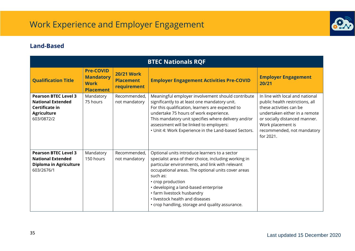

#### <span id="page-34-0"></span>**Land-Based**

| <b>BTEC Nationals RQF</b>                                                                                     |                                                                         |                                                      |                                                                                                                                                                                                                                                                                                                                                                                                              |                                                                                                                                                                                                                                 |  |  |
|---------------------------------------------------------------------------------------------------------------|-------------------------------------------------------------------------|------------------------------------------------------|--------------------------------------------------------------------------------------------------------------------------------------------------------------------------------------------------------------------------------------------------------------------------------------------------------------------------------------------------------------------------------------------------------------|---------------------------------------------------------------------------------------------------------------------------------------------------------------------------------------------------------------------------------|--|--|
| <b>Qualification Title</b>                                                                                    | <b>Pre-COVID</b><br><b>Mandatory</b><br><b>Work</b><br><b>Placement</b> | <b>20/21 Work</b><br><b>Placement</b><br>requirement | <b>Employer Engagement Activities Pre-COVID</b>                                                                                                                                                                                                                                                                                                                                                              | <b>Employer Engagement</b><br>20/21                                                                                                                                                                                             |  |  |
| <b>Pearson BTEC Level 3</b><br><b>National Extended</b><br>Certificate in<br><b>Agriculture</b><br>603/0872/2 | Mandatory<br>75 hours                                                   | Recommended,<br>not mandatory                        | Meaningful employer involvement should contribute<br>significantly to at least one mandatory unit.<br>For this qualification, learners are expected to<br>undertake 75 hours of work experience.<br>This mandatory unit specifies where delivery and/or<br>assessment will be linked to employers:<br>• Unit 4: Work Experience in the Land-based Sectors.                                                   | In line with local and national<br>public health restrictions, all<br>these activities can be<br>undertaken either in a remote<br>or socially distanced manner.<br>Work placement is<br>recommended, not mandatory<br>for 2021. |  |  |
| <b>Pearson BTEC Level 3</b><br><b>National Extended</b><br>Diploma in Agriculture<br>603/2676/1               | Mandatory<br>150 hours                                                  | Recommended,<br>not mandatory                        | Optional units introduce learners to a sector<br>specialist area of their choice, including working in<br>particular environments, and link with relevant<br>occupational areas. The optional units cover areas<br>such as:<br>• crop production<br>• developing a land-based enterprise<br>• farm livestock husbandry<br>. livestock health and diseases<br>• crop handling, storage and quality assurance. |                                                                                                                                                                                                                                 |  |  |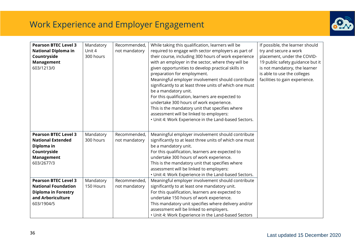

| <b>Pearson BTEC Level 3</b><br><b>National Diploma in</b><br>Countryside<br><b>Management</b><br>603/1213/0                | Mandatory<br>Unit 4<br>300 hours | Recommended,<br>not mandatory | While taking this qualification, learners will be<br>required to engage with sector employers as part of<br>their course, including 300 hours of work experience<br>with an employer in the sector, where they will be<br>given opportunities to develop practical skills in<br>preparation for employment.<br>Meaningful employer involvement should contribute<br>significantly to at least three units of which one must<br>be a mandatory unit.<br>For this qualification, learners are expected to<br>undertake 300 hours of work experience.<br>This is the mandatory unit that specifies where<br>assessment will be linked to employers:<br>• Unit 4: Work Experience in the Land-based Sectors. | If possible, the learner should<br>try and secure a work<br>placement, under the COVID-<br>19 public safety guidance but it<br>is not mandatory, the learner<br>is able to use the colleges<br>facilities to gain experience. |
|----------------------------------------------------------------------------------------------------------------------------|----------------------------------|-------------------------------|----------------------------------------------------------------------------------------------------------------------------------------------------------------------------------------------------------------------------------------------------------------------------------------------------------------------------------------------------------------------------------------------------------------------------------------------------------------------------------------------------------------------------------------------------------------------------------------------------------------------------------------------------------------------------------------------------------|-------------------------------------------------------------------------------------------------------------------------------------------------------------------------------------------------------------------------------|
| <b>Pearson BTEC Level 3</b><br><b>National Extended</b><br>Diploma in<br>Countryside<br><b>Management</b><br>603/2677/3    | Mandatory<br>300 hours           | Recommended,<br>not mandatory | Meaningful employer involvement should contribute<br>significantly to at least three units of which one must<br>be a mandatory unit.<br>For this qualification, learners are expected to<br>undertake 300 hours of work experience.<br>This is the mandatory unit that specifies where<br>assessment will be linked to employers:<br>• Unit 4: Work Experience in the Land-based Sectors.                                                                                                                                                                                                                                                                                                                |                                                                                                                                                                                                                               |
| <b>Pearson BTEC Level 3</b><br><b>National Foundation</b><br><b>Diploma in Forestry</b><br>and Arboriculture<br>603/1904/5 | Mandatory<br>150 Hours           | Recommended,<br>not mandatory | Meaningful employer involvement should contribute<br>significantly to at least one mandatory unit.<br>For this qualification, learners are expected to<br>undertake 150 hours of work experience.<br>This mandatory unit specifies where delivery and/or<br>assessment will be linked to employers.<br>• Unit 4: Work Experience in the Land-based Sectors                                                                                                                                                                                                                                                                                                                                               |                                                                                                                                                                                                                               |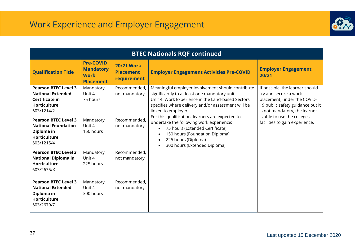

| <b>BTEC Nationals RQF continued</b>                                                                            |                                                                         |                                                      |                                                                                                                                                                                                                                                                                                                                                                                                                                                                   |                                                                                                                                                                                                                               |  |  |
|----------------------------------------------------------------------------------------------------------------|-------------------------------------------------------------------------|------------------------------------------------------|-------------------------------------------------------------------------------------------------------------------------------------------------------------------------------------------------------------------------------------------------------------------------------------------------------------------------------------------------------------------------------------------------------------------------------------------------------------------|-------------------------------------------------------------------------------------------------------------------------------------------------------------------------------------------------------------------------------|--|--|
| <b>Qualification Title</b>                                                                                     | <b>Pre-COVID</b><br><b>Mandatory</b><br><b>Work</b><br><b>Placement</b> | <b>20/21 Work</b><br><b>Placement</b><br>requirement | <b>Employer Engagement Activities Pre-COVID</b>                                                                                                                                                                                                                                                                                                                                                                                                                   | <b>Employer Engagement</b><br>20/21                                                                                                                                                                                           |  |  |
| <b>Pearson BTEC Level 3</b><br><b>National Extended</b><br>Certificate in<br><b>Horticulture</b><br>603/1214/2 | Mandatory<br>Unit 4<br>75 hours                                         | Recommended,<br>not mandatory                        | Meaningful employer involvement should contribute<br>significantly to at least one mandatory unit.<br>Unit 4: Work Experience in the Land-based Sectors<br>specifies where delivery and/or assessment will be<br>linked to employers.<br>For this qualification, learners are expected to<br>undertake the following work experience:<br>75 hours (Extended Certificate)<br>150 hours (Foundation Diploma)<br>225 hours (Diploma)<br>300 hours (Extended Diploma) | If possible, the learner should<br>try and secure a work<br>placement, under the COVID-<br>19 public safety guidance but it<br>is not mandatory, the learner<br>is able to use the colleges<br>facilities to gain experience. |  |  |
| <b>Pearson BTEC Level 3</b><br><b>National Foundation</b><br>Diploma in<br><b>Horticulture</b><br>603/1215/4   | Mandatory<br>Unit 4<br>150 hours                                        | Recommended,<br>not mandatory                        |                                                                                                                                                                                                                                                                                                                                                                                                                                                                   |                                                                                                                                                                                                                               |  |  |
| <b>Pearson BTEC Level 3</b><br><b>National Diploma in</b><br><b>Horticulture</b><br>603/2675/X                 | Mandatory<br>Unit 4<br>225 hours                                        | Recommended,<br>not mandatory                        |                                                                                                                                                                                                                                                                                                                                                                                                                                                                   |                                                                                                                                                                                                                               |  |  |
| <b>Pearson BTEC Level 3</b><br><b>National Extended</b><br>Diploma in<br><b>Horticulture</b><br>603/2679/7     | Mandatory<br>Unit 4<br>300 hours                                        | Recommended,<br>not mandatory                        |                                                                                                                                                                                                                                                                                                                                                                                                                                                                   |                                                                                                                                                                                                                               |  |  |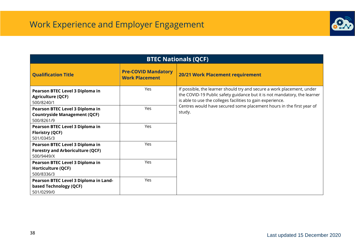

| <b>BTEC Nationals (QCF)</b>                                                              |                                                     |                                                                                                                                                                                                                  |  |  |  |  |  |
|------------------------------------------------------------------------------------------|-----------------------------------------------------|------------------------------------------------------------------------------------------------------------------------------------------------------------------------------------------------------------------|--|--|--|--|--|
| <b>Qualification Title</b>                                                               | <b>Pre-COVID Mandatory</b><br><b>Work Placement</b> | 20/21 Work Placement requirement                                                                                                                                                                                 |  |  |  |  |  |
| Pearson BTEC Level 3 Diploma in<br><b>Agriculture (QCF)</b><br>500/8240/1                | <b>Yes</b>                                          | If possible, the learner should try and secure a work placement, under<br>the COVID-19 Public safety guidance but it is not mandatory, the learner<br>is able to use the colleges facilities to gain experience. |  |  |  |  |  |
| Pearson BTEC Level 3 Diploma in<br><b>Countryside Management (QCF)</b><br>500/8261/9     | Yes                                                 | Centres would have secured some placement hours in the first year of<br>study.                                                                                                                                   |  |  |  |  |  |
| Pearson BTEC Level 3 Diploma in<br><b>Floristry (QCF)</b><br>501/0345/3                  | Yes                                                 |                                                                                                                                                                                                                  |  |  |  |  |  |
| Pearson BTEC Level 3 Diploma in<br><b>Forestry and Arboriculture (QCF)</b><br>500/9449/X | Yes                                                 |                                                                                                                                                                                                                  |  |  |  |  |  |
| Pearson BTEC Level 3 Diploma in<br><b>Horticulture (QCF)</b><br>500/8336/3               | <b>Yes</b>                                          |                                                                                                                                                                                                                  |  |  |  |  |  |
| Pearson BTEC Level 3 Diploma in Land-<br>based Technology (QCF)<br>501/0299/0            | Yes                                                 |                                                                                                                                                                                                                  |  |  |  |  |  |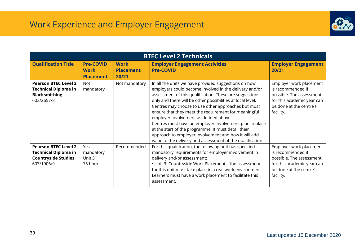

| <b>BTEC Level 2 Technicals</b>                                                                         |                                                     |                                          |                                                                                                                                                                                                                                                                                                                                                                                                                                                                                                                                                                                                                                          |                                                                                                                                                |  |
|--------------------------------------------------------------------------------------------------------|-----------------------------------------------------|------------------------------------------|------------------------------------------------------------------------------------------------------------------------------------------------------------------------------------------------------------------------------------------------------------------------------------------------------------------------------------------------------------------------------------------------------------------------------------------------------------------------------------------------------------------------------------------------------------------------------------------------------------------------------------------|------------------------------------------------------------------------------------------------------------------------------------------------|--|
| <b>Qualification Title</b>                                                                             | <b>Pre-COVID</b><br><b>Work</b><br><b>Placement</b> | <b>Work</b><br><b>Placement</b><br>20/21 | <b>Employer Engagement Activities</b><br><b>Pre-COVID</b>                                                                                                                                                                                                                                                                                                                                                                                                                                                                                                                                                                                | <b>Employer Engagement</b><br>20/21                                                                                                            |  |
| <b>Pearson BTEC Level 2</b><br><b>Technical Diploma in</b><br><b>Blacksmithing</b><br>603/2657/8       | <b>Not</b><br>mandatory                             | Not mandatory                            | In all the units we have provided suggestions on how<br>employers could become involved in the delivery and/or<br>assessment of this qualification. These are suggestions<br>only and there will be other possibilities at local level.<br>Centres may choose to use other approaches but must<br>ensure that they meet the requirement for meaningful<br>employer involvement as defined above.<br>Centres must have an employer involvement plan in place<br>at the start of the programme. It must detail their<br>approach to employer involvement and how it will add<br>value to the delivery and assessment of the qualification. | Employer work placement<br>is recommended if<br>possible. The assessment<br>for this academic year can<br>be done at the centre's<br>facility. |  |
| <b>Pearson BTEC Level 2</b><br><b>Technical Diploma in</b><br><b>Countryside Studies</b><br>603/1906/9 | Yes<br>mandatory<br>Unit 3<br>75 hours              | Recommended                              | For this qualification, the following unit has specified<br>mandatory requirements for employer involvement in<br>delivery and/or assessment:<br>• Unit 3: Countryside Work Placement - the assessment<br>for this unit must take place in a real work environment.<br>Learners must have a work placement to facilitate this<br>assessment.                                                                                                                                                                                                                                                                                             | Employer work placement<br>is recommended if<br>possible. The assessment<br>for this academic year can<br>be done at the centre's<br>facility. |  |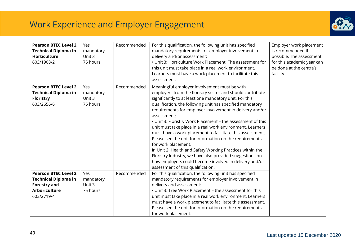

| mandatory<br>Unit 3<br>75 hours | Recommended | Meaningful employer involvement must be with                                                                                                                                                                                                                                                                                                                                                                                                                                                                                                                                                                                                                                                                                                                   |                     |
|---------------------------------|-------------|----------------------------------------------------------------------------------------------------------------------------------------------------------------------------------------------------------------------------------------------------------------------------------------------------------------------------------------------------------------------------------------------------------------------------------------------------------------------------------------------------------------------------------------------------------------------------------------------------------------------------------------------------------------------------------------------------------------------------------------------------------------|---------------------|
|                                 |             | employers from the floristry sector and should contribute<br>significantly to at least one mandatory unit. For this<br>qualification, the following unit has specified mandatory<br>requirements for employer involvement in delivery and/or<br>assessment:<br>• Unit 3: Floristry Work Placement - the assessment of this<br>unit must take place in a real work environment. Learners<br>must have a work placement to facilitate this assessment.<br>Please see the unit for information on the requirements<br>for work placement.<br>In Unit 2: Health and Safety Working Practices within the<br>Floristry Industry, we have also provided suggestions on<br>how employers could become involved in delivery and/or<br>assessment of this qualification. |                     |
| mandatory<br>Unit 3<br>75 hours |             | For this qualification, the following unit has specified<br>mandatory requirements for employer involvement in<br>delivery and assessment:<br>• Unit 3: Tree Work Placement - the assessment for this<br>unit must take place in a real work environment. Learners<br>must have a work placement to facilitate this assessment.<br>Please see the unit for information on the requirements                                                                                                                                                                                                                                                                                                                                                                     |                     |
|                                 |             | Recommended                                                                                                                                                                                                                                                                                                                                                                                                                                                                                                                                                                                                                                                                                                                                                    | for work placement. |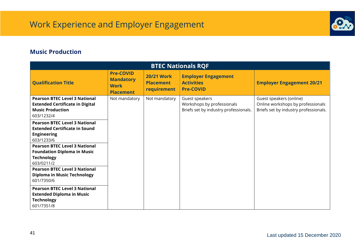

#### <span id="page-40-0"></span>**Music Production**

| <b>BTEC Nationals RQF</b>                                                                                                                                                                                                         |                                                                         |                                                      |                                                                                       |                                                                                                       |  |  |  |
|-----------------------------------------------------------------------------------------------------------------------------------------------------------------------------------------------------------------------------------|-------------------------------------------------------------------------|------------------------------------------------------|---------------------------------------------------------------------------------------|-------------------------------------------------------------------------------------------------------|--|--|--|
| <b>Qualification Title</b>                                                                                                                                                                                                        | <b>Pre-COVID</b><br><b>Mandatory</b><br><b>Work</b><br><b>Placement</b> | <b>20/21 Work</b><br><b>Placement</b><br>requirement | <b>Employer Engagement</b><br><b>Activities</b><br><b>Pre-COVID</b>                   | <b>Employer Engagement 20/21</b>                                                                      |  |  |  |
| <b>Pearson BTEC Level 3 National</b><br><b>Extended Certificate in Digital</b><br><b>Music Production</b><br>603/1232/4                                                                                                           | Not mandatory                                                           | Not mandatory                                        | Guest speakers<br>Workshops by professionals<br>Briefs set by industry professionals. | Guest speakers (online)<br>Online workshops by professionals<br>Briefs set by industry professionals. |  |  |  |
| <b>Pearson BTEC Level 3 National</b><br><b>Extended Certificate in Sound</b><br><b>Engineering</b><br>603/1233/6<br><b>Pearson BTEC Level 3 National</b><br><b>Foundation Diploma in Music</b><br><b>Technology</b><br>603/0211/2 |                                                                         |                                                      |                                                                                       |                                                                                                       |  |  |  |
| <b>Pearson BTEC Level 3 National</b><br><b>Diploma in Music Technology</b><br>601/7350/6                                                                                                                                          |                                                                         |                                                      |                                                                                       |                                                                                                       |  |  |  |
| <b>Pearson BTEC Level 3 National</b><br><b>Extended Diploma in Music</b><br><b>Technology</b><br>601/7351/8                                                                                                                       |                                                                         |                                                      |                                                                                       |                                                                                                       |  |  |  |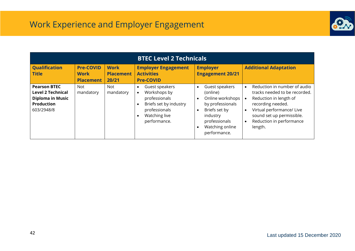

| <b>BTEC Level 2 Technicals</b>                                                                                |                                                     |                                          |                                                                                                                                                                                 |                                                                                                                                                                                            |                                                                                                                                                                                                                                                      |
|---------------------------------------------------------------------------------------------------------------|-----------------------------------------------------|------------------------------------------|---------------------------------------------------------------------------------------------------------------------------------------------------------------------------------|--------------------------------------------------------------------------------------------------------------------------------------------------------------------------------------------|------------------------------------------------------------------------------------------------------------------------------------------------------------------------------------------------------------------------------------------------------|
| <b>Qualification</b><br><b>Title</b>                                                                          | <b>Pre-COVID</b><br><b>Work</b><br><b>Placement</b> | <b>Work</b><br><b>Placement</b><br>20/21 | <b>Employer Engagement</b><br><b>Activities</b><br><b>Pre-COVID</b>                                                                                                             | <b>Employer</b><br><b>Engagement 20/21</b>                                                                                                                                                 | <b>Additional Adaptation</b>                                                                                                                                                                                                                         |
| <b>Pearson BTEC</b><br><b>Level 2 Technical</b><br><b>Diploma in Music</b><br><b>Production</b><br>603/2948/8 | Not<br>mandatory                                    | <b>Not</b><br>mandatory                  | Guest speakers<br>$\bullet$<br>Workshops by<br>$\bullet$<br>professionals<br>Briefs set by industry<br>$\bullet$<br>professionals<br>Watching live<br>$\bullet$<br>performance. | Guest speakers<br>$\bullet$<br>(online)<br>Online workshops<br>$\bullet$<br>by professionals<br>Briefs set by<br>$\bullet$<br>industry<br>professionals<br>Watching online<br>performance. | Reduction in number of audio<br>$\bullet$<br>tracks needed to be recorded.<br>Reduction in length of<br>recording needed.<br>Virtual performance/ Live<br>$\bullet$<br>sound set up permissible.<br>Reduction in performance<br>$\bullet$<br>length. |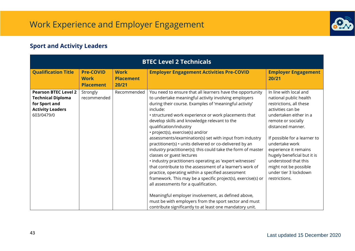

### <span id="page-42-0"></span>**Sport and Activity Leaders**

| <b>BTEC Level 2 Technicals</b>                                                                                    |                                                     |                                          |                                                                                                                                                                                                                                                                                                                                                                                                                                                                                                                                                                                                                                                                                                                                                                                                                                                                                                                                                                                                                                                  |                                                                                                                                                                                                                                                                                                                                                                            |  |  |
|-------------------------------------------------------------------------------------------------------------------|-----------------------------------------------------|------------------------------------------|--------------------------------------------------------------------------------------------------------------------------------------------------------------------------------------------------------------------------------------------------------------------------------------------------------------------------------------------------------------------------------------------------------------------------------------------------------------------------------------------------------------------------------------------------------------------------------------------------------------------------------------------------------------------------------------------------------------------------------------------------------------------------------------------------------------------------------------------------------------------------------------------------------------------------------------------------------------------------------------------------------------------------------------------------|----------------------------------------------------------------------------------------------------------------------------------------------------------------------------------------------------------------------------------------------------------------------------------------------------------------------------------------------------------------------------|--|--|
| <b>Qualification Title</b>                                                                                        | <b>Pre-COVID</b><br><b>Work</b><br><b>Placement</b> | <b>Work</b><br><b>Placement</b><br>20/21 | <b>Employer Engagement Activities Pre-COVID</b>                                                                                                                                                                                                                                                                                                                                                                                                                                                                                                                                                                                                                                                                                                                                                                                                                                                                                                                                                                                                  | <b>Employer Engagement</b><br>20/21                                                                                                                                                                                                                                                                                                                                        |  |  |
| <b>Pearson BTEC Level 2</b><br><b>Technical Diploma</b><br>for Sport and<br><b>Activity Leaders</b><br>603/0479/0 | Strongly<br>recommended                             | Recommended                              | You need to ensure that all learners have the opportunity<br>to undertake meaningful activity involving employers<br>during their course. Examples of 'meaningful activity'<br>include:<br>• structured work experience or work placements that<br>develop skills and knowledge relevant to the<br>qualification/industry<br>• project(s), exercise(s) and/or<br>assessments/examination(s) set with input from industry<br>practitioner(s) • units delivered or co-delivered by an<br>industry practitioner(s); this could take the form of master<br>classes or guest lectures<br>· industry practitioners operating as 'expert witnesses'<br>that contribute to the assessment of a learner's work of<br>practice, operating within a specified assessment<br>framework. This may be a specific project(s), exercise(s) or<br>all assessments for a qualification.<br>Meaningful employer involvement, as defined above,<br>must be with employers from the sport sector and must<br>contribute significantly to at least one mandatory unit. | In line with local and<br>national public health<br>restrictions, all these<br>activities can be<br>undertaken either in a<br>remote or socially<br>distanced manner.<br>If possible for a learner to<br>undertake work<br>experience it remains<br>hugely beneficial but it is<br>understood that this<br>might not be possible<br>under tier 3 lockdown<br>restrictions. |  |  |